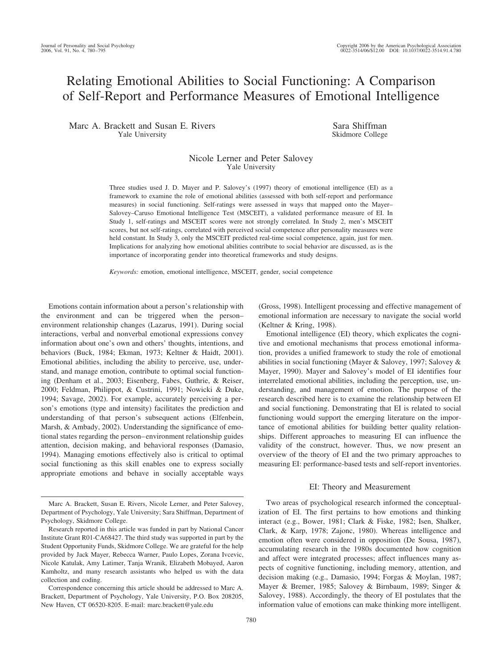# Relating Emotional Abilities to Social Functioning: A Comparison of Self-Report and Performance Measures of Emotional Intelligence

Marc A. Brackett and Susan E. Rivers Yale University

Sara Shiffman Skidmore College

# Nicole Lerner and Peter Salovey Yale University

Three studies used J. D. Mayer and P. Salovey's (1997) theory of emotional intelligence (EI) as a framework to examine the role of emotional abilities (assessed with both self-report and performance measures) in social functioning. Self-ratings were assessed in ways that mapped onto the Mayer– Salovey–Caruso Emotional Intelligence Test (MSCEIT), a validated performance measure of EI. In Study 1, self-ratings and MSCEIT scores were not strongly correlated. In Study 2, men's MSCEIT scores, but not self-ratings, correlated with perceived social competence after personality measures were held constant. In Study 3, only the MSCEIT predicted real-time social competence, again, just for men. Implications for analyzing how emotional abilities contribute to social behavior are discussed, as is the importance of incorporating gender into theoretical frameworks and study designs.

*Keywords:* emotion, emotional intelligence, MSCEIT, gender, social competence

Emotions contain information about a person's relationship with the environment and can be triggered when the person– environment relationship changes (Lazarus, 1991). During social interactions, verbal and nonverbal emotional expressions convey information about one's own and others' thoughts, intentions, and behaviors (Buck, 1984; Ekman, 1973; Keltner & Haidt, 2001). Emotional abilities, including the ability to perceive, use, understand, and manage emotion, contribute to optimal social functioning (Denham et al., 2003; Eisenberg, Fabes, Guthrie, & Reiser, 2000; Feldman, Philippot, & Custrini, 1991; Nowicki & Duke, 1994; Savage, 2002). For example, accurately perceiving a person's emotions (type and intensity) facilitates the prediction and understanding of that person's subsequent actions (Elfenbein, Marsh, & Ambady, 2002). Understanding the significance of emotional states regarding the person– environment relationship guides attention, decision making, and behavioral responses (Damasio, 1994). Managing emotions effectively also is critical to optimal social functioning as this skill enables one to express socially appropriate emotions and behave in socially acceptable ways (Gross, 1998). Intelligent processing and effective management of emotional information are necessary to navigate the social world (Keltner & Kring, 1998).

Emotional intelligence (EI) theory, which explicates the cognitive and emotional mechanisms that process emotional information, provides a unified framework to study the role of emotional abilities in social functioning (Mayer & Salovey, 1997; Salovey & Mayer, 1990). Mayer and Salovey's model of EI identifies four interrelated emotional abilities, including the perception, use, understanding, and management of emotion. The purpose of the research described here is to examine the relationship between EI and social functioning. Demonstrating that EI is related to social functioning would support the emerging literature on the importance of emotional abilities for building better quality relationships. Different approaches to measuring EI can influence the validity of the construct, however. Thus, we now present an overview of the theory of EI and the two primary approaches to measuring EI: performance-based tests and self-report inventories.

#### EI: Theory and Measurement

Two areas of psychological research informed the conceptualization of EI. The first pertains to how emotions and thinking interact (e.g., Bower, 1981; Clark & Fiske, 1982; Isen, Shalker, Clark, & Karp, 1978; Zajonc, 1980). Whereas intelligence and emotion often were considered in opposition (De Sousa, 1987), accumulating research in the 1980s documented how cognition and affect were integrated processes; affect influences many aspects of cognitive functioning, including memory, attention, and decision making (e.g., Damasio, 1994; Forgas & Moylan, 1987; Mayer & Bremer, 1985; Salovey & Birnbaum, 1989; Singer & Salovey, 1988). Accordingly, the theory of EI postulates that the information value of emotions can make thinking more intelligent.

Marc A. Brackett, Susan E. Rivers, Nicole Lerner, and Peter Salovey, Department of Psychology, Yale University; Sara Shiffman, Department of Psychology, Skidmore College.

Research reported in this article was funded in part by National Cancer Institute Grant R01-CA68427. The third study was supported in part by the Student Opportunity Funds, Skidmore College. We are grateful for the help provided by Jack Mayer, Rebecca Warner, Paulo Lopes, Zorana Ivcevic, Nicole Katulak, Amy Latimer, Tanja Wranik, Elizabeth Mobayed, Aaron Kamholtz, and many research assistants who helped us with the data collection and coding.

Correspondence concerning this article should be addressed to Marc A. Brackett, Department of Psychology, Yale University, P.O. Box 208205, New Haven, CT 06520-8205. E-mail: marc.brackett@yale.edu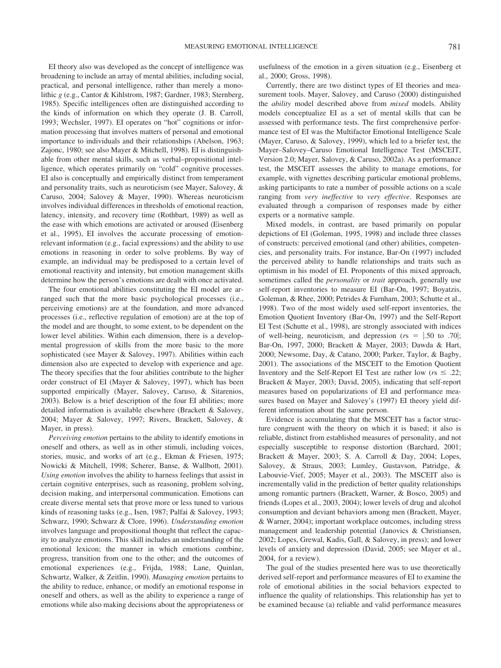EI theory also was developed as the concept of intelligence was broadening to include an array of mental abilities, including social, practical, and personal intelligence, rather than merely a monolithic *g* (e.g., Cantor & Kihlstrom, 1987; Gardner, 1983; Sternberg, 1985). Specific intelligences often are distinguished according to the kinds of information on which they operate (J. B. Carroll, 1993; Wechsler, 1997). EI operates on "hot" cognitions or information processing that involves matters of personal and emotional importance to individuals and their relationships (Abelson, 1963; Zajonc, 1980; see also Mayer & Mitchell, 1998). EI is distinguishable from other mental skills, such as verbal–propositional intelligence, which operates primarily on "cold" cognitive processes. EI also is conceptually and empirically distinct from temperament and personality traits, such as neuroticism (see Mayer, Salovey, & Caruso, 2004; Salovey & Mayer, 1990). Whereas neuroticism involves individual differences in thresholds of emotional reaction, latency, intensity, and recovery time (Rothbart, 1989) as well as the ease with which emotions are activated or aroused (Eisenberg et al., 1995), EI involves the accurate processing of emotionrelevant information (e.g., facial expressions) and the ability to use emotions in reasoning in order to solve problems. By way of example, an individual may be predisposed to a certain level of emotional reactivity and intensity, but emotion management skills determine how the person's emotions are dealt with once activated.

The four emotional abilities constituting the EI model are arranged such that the more basic psychological processes (i.e., perceiving emotions) are at the foundation, and more advanced processes (i.e., reflective regulation of emotion) are at the top of the model and are thought, to some extent, to be dependent on the lower level abilities. Within each dimension, there is a developmental progression of skills from the more basic to the more sophisticated (see Mayer & Salovey, 1997). Abilities within each dimension also are expected to develop with experience and age. The theory specifies that the four abilities contribute to the higher order construct of EI (Mayer & Salovey, 1997), which has been supported empirically (Mayer, Salovey, Caruso, & Sitarenios, 2003). Below is a brief description of the four EI abilities; more detailed information is available elsewhere (Brackett & Salovey, 2004; Mayer & Salovey, 1997; Rivers, Brackett, Salovey, & Mayer, in press).

*Perceiving emotion* pertains to the ability to identify emotions in oneself and others, as well as in other stimuli, including voices, stories, music, and works of art (e.g., Ekman & Friesen, 1975; Nowicki & Mitchell, 1998; Scherer, Banse, & Wallbott, 2001). *Using emotion* involves the ability to harness feelings that assist in certain cognitive enterprises, such as reasoning, problem solving, decision making, and interpersonal communication. Emotions can create diverse mental sets that prove more or less tuned to various kinds of reasoning tasks (e.g., Isen, 1987; Palfai & Salovey, 1993; Schwarz, 1990; Schwarz & Clore, 1996). *Understanding emotion* involves language and propositional thought that reflect the capacity to analyze emotions. This skill includes an understanding of the emotional lexicon; the manner in which emotions combine, progress, transition from one to the other; and the outcomes of emotional experiences (e.g., Frijda, 1988; Lane, Quinlan, Schwartz, Walker, & Zeitlin, 1990). *Managing emotion* pertains to the ability to reduce, enhance, or modify an emotional response in oneself and others, as well as the ability to experience a range of emotions while also making decisions about the appropriateness or usefulness of the emotion in a given situation (e.g., Eisenberg et al., 2000; Gross, 1998).

Currently, there are two distinct types of EI theories and measurement tools. Mayer, Salovey, and Caruso (2000) distinguished the *ability* model described above from *mixed* models. Ability models conceptualize EI as a set of mental skills that can be assessed with performance tests. The first comprehensive performance test of EI was the Multifactor Emotional Intelligence Scale (Mayer, Caruso, & Salovey, 1999), which led to a briefer test, the Mayer–Salovey–Caruso Emotional Intelligence Test (MSCEIT, Version 2.0; Mayer, Salovey, & Caruso, 2002a). As a performance test, the MSCEIT assesses the ability to manage emotions, for example, with vignettes describing particular emotional problems, asking participants to rate a number of possible actions on a scale ranging from *very ineffective* to *very effective*. Responses are evaluated through a comparison of responses made by either experts or a normative sample.

Mixed models, in contrast, are based primarily on popular depictions of EI (Goleman, 1995, 1998) and include three classes of constructs: perceived emotional (and other) abilities, competencies, and personality traits. For instance, Bar-On (1997) included the perceived ability to handle relationships and traits such as optimism in his model of EI. Proponents of this mixed approach, sometimes called the *personality* or *trait* approach, generally use self-report inventories to measure EI (Bar-On, 1997; Boyatzis, Goleman, & Rhee, 2000; Petrides & Furnham, 2003; Schutte et al., 1998). Two of the most widely used self-report inventories, the Emotion Quotient Inventory (Bar-On, 1997) and the Self-Report EI Test (Schutte et al., 1998), are strongly associated with indices of well-being, neuroticism, and depression  $(rs = 1.50 \text{ to } .70);$ Bar-On, 1997, 2000; Brackett & Mayer, 2003; Dawda & Hart, 2000; Newsome, Day, & Catano, 2000; Parker, Taylor, & Bagby, 2001). The associations of the MSCEIT to the Emotion Quotient Inventory and the Self-Report EI Test are rather low ( $r s \le .22$ ; Brackett & Mayer, 2003; David, 2005), indicating that self-report measures based on popularizations of EI and performance measures based on Mayer and Salovey's (1997) EI theory yield different information about the same person.

Evidence is accumulating that the MSCEIT has a factor structure congruent with the theory on which it is based; it also is reliable, distinct from established measures of personality, and not especially susceptible to response distortion (Barchard, 2001; Brackett & Mayer, 2003; S. A. Carroll & Day, 2004; Lopes, Salovey, & Straus, 2003; Lumley, Gustavson, Patridge, & Labouvie-Vief, 2005; Mayer et al., 2003). The MSCEIT also is incrementally valid in the prediction of better quality relationships among romantic partners (Brackett, Warner, & Bosco, 2005) and friends (Lopes et al., 2003, 2004); lower levels of drug and alcohol consumption and deviant behaviors among men (Brackett, Mayer, & Warner, 2004); important workplace outcomes, including stress management and leadership potential (Janovics & Christiansen, 2002; Lopes, Grewal, Kadis, Gall, & Salovey, in press); and lower levels of anxiety and depression (David, 2005; see Mayer et al., 2004, for a review).

The goal of the studies presented here was to use theoretically derived self-report and performance measures of EI to examine the role of emotional abilities in the social behaviors expected to influence the quality of relationships. This relationship has yet to be examined because (a) reliable and valid performance measures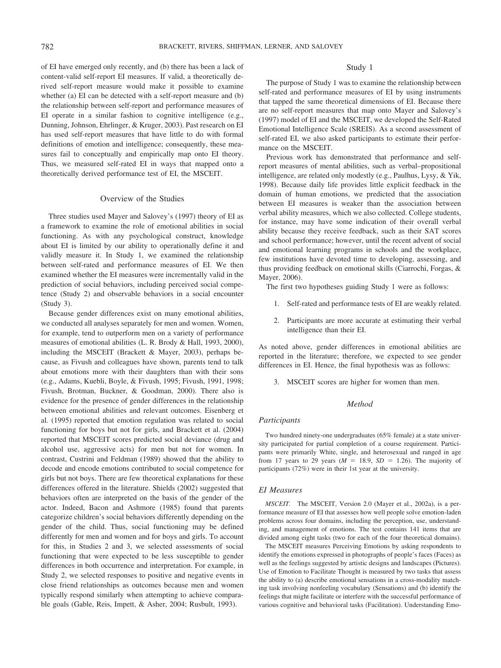of EI have emerged only recently, and (b) there has been a lack of content-valid self-report EI measures. If valid, a theoretically derived self-report measure would make it possible to examine whether (a) EI can be detected with a self-report measure and (b) the relationship between self-report and performance measures of EI operate in a similar fashion to cognitive intelligence (e.g., Dunning, Johnson, Ehrlinger, & Kruger, 2003). Past research on EI has used self-report measures that have little to do with formal definitions of emotion and intelligence; consequently, these measures fail to conceptually and empirically map onto EI theory. Thus, we measured self-rated EI in ways that mapped onto a theoretically derived performance test of EI, the MSCEIT.

### Overview of the Studies

Three studies used Mayer and Salovey's (1997) theory of EI as a framework to examine the role of emotional abilities in social functioning. As with any psychological construct, knowledge about EI is limited by our ability to operationally define it and validly measure it. In Study 1, we examined the relationship between self-rated and performance measures of EI. We then examined whether the EI measures were incrementally valid in the prediction of social behaviors, including perceived social competence (Study 2) and observable behaviors in a social encounter (Study 3).

Because gender differences exist on many emotional abilities, we conducted all analyses separately for men and women. Women, for example, tend to outperform men on a variety of performance measures of emotional abilities (L. R. Brody & Hall, 1993, 2000), including the MSCEIT (Brackett & Mayer, 2003), perhaps because, as Fivush and colleagues have shown, parents tend to talk about emotions more with their daughters than with their sons (e.g., Adams, Kuebli, Boyle, & Fivush, 1995; Fivush, 1991, 1998; Fivush, Brotman, Buckner, & Goodman, 2000). There also is evidence for the presence of gender differences in the relationship between emotional abilities and relevant outcomes. Eisenberg et al. (1995) reported that emotion regulation was related to social functioning for boys but not for girls, and Brackett et al. (2004) reported that MSCEIT scores predicted social deviance (drug and alcohol use, aggressive acts) for men but not for women. In contrast, Custrini and Feldman (1989) showed that the ability to decode and encode emotions contributed to social competence for girls but not boys. There are few theoretical explanations for these differences offered in the literature. Shields (2002) suggested that behaviors often are interpreted on the basis of the gender of the actor. Indeed, Bacon and Ashmore (1985) found that parents categorize children's social behaviors differently depending on the gender of the child. Thus, social functioning may be defined differently for men and women and for boys and girls. To account for this, in Studies 2 and 3, we selected assessments of social functioning that were expected to be less susceptible to gender differences in both occurrence and interpretation. For example, in Study 2, we selected responses to positive and negative events in close friend relationships as outcomes because men and women typically respond similarly when attempting to achieve comparable goals (Gable, Reis, Impett, & Asher, 2004; Rusbult, 1993).

## Study 1

The purpose of Study 1 was to examine the relationship between self-rated and performance measures of EI by using instruments that tapped the same theoretical dimensions of EI. Because there are no self-report measures that map onto Mayer and Salovey's (1997) model of EI and the MSCEIT, we developed the Self-Rated Emotional Intelligence Scale (SREIS). As a second assessment of self-rated EI, we also asked participants to estimate their performance on the MSCEIT.

Previous work has demonstrated that performance and selfreport measures of mental abilities, such as verbal–propositional intelligence, are related only modestly (e.g., Paulhus, Lysy, & Yik, 1998). Because daily life provides little explicit feedback in the domain of human emotions, we predicted that the association between EI measures is weaker than the association between verbal ability measures, which we also collected. College students, for instance, may have some indication of their overall verbal ability because they receive feedback, such as their SAT scores and school performance; however, until the recent advent of social and emotional learning programs in schools and the workplace, few institutions have devoted time to developing, assessing, and thus providing feedback on emotional skills (Ciarrochi, Forgas, & Mayer, 2006).

The first two hypotheses guiding Study 1 were as follows:

- 1. Self-rated and performance tests of EI are weakly related.
- 2. Participants are more accurate at estimating their verbal intelligence than their EI.

As noted above, gender differences in emotional abilities are reported in the literature; therefore, we expected to see gender differences in EI. Hence, the final hypothesis was as follows:

3. MSCEIT scores are higher for women than men.

#### *Method*

#### *Participants*

Two hundred ninety-one undergraduates (65% female) at a state university participated for partial completion of a course requirement. Participants were primarily White, single, and heterosexual and ranged in age from 17 years to 29 years  $(M = 18.9, SD = 1.26)$ . The majority of participants (72%) were in their 1st year at the university.

#### *EI Measures*

*MSCEIT.* The MSCEIT, Version 2.0 (Mayer et al., 2002a), is a performance measure of EI that assesses how well people solve emotion-laden problems across four domains, including the perception, use, understanding, and management of emotions. The test contains 141 items that are divided among eight tasks (two for each of the four theoretical domains).

The MSCEIT measures Perceiving Emotions by asking respondents to identify the emotions expressed in photographs of people's faces (Faces) as well as the feelings suggested by artistic designs and landscapes (Pictures). Use of Emotion to Facilitate Thought is measured by two tasks that assess the ability to (a) describe emotional sensations in a cross-modality matching task involving nonfeeling vocabulary (Sensations) and (b) identify the feelings that might facilitate or interfere with the successful performance of various cognitive and behavioral tasks (Facilitation). Understanding Emo-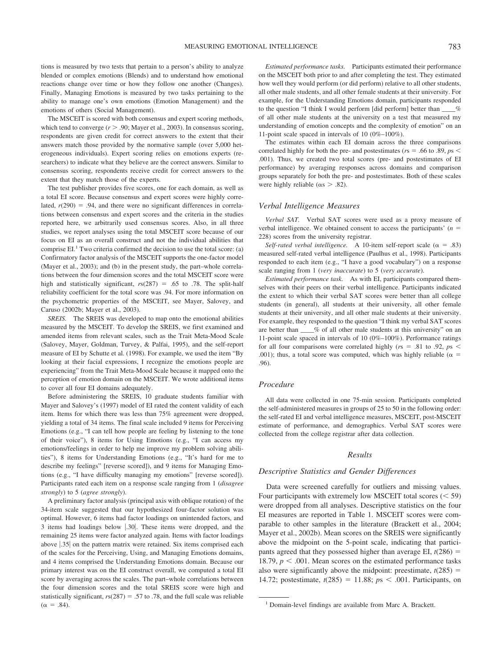tions is measured by two tests that pertain to a person's ability to analyze blended or complex emotions (Blends) and to understand how emotional reactions change over time or how they follow one another (Changes). Finally, Managing Emotions is measured by two tasks pertaining to the ability to manage one's own emotions (Emotion Management) and the emotions of others (Social Management).

The MSCEIT is scored with both consensus and expert scoring methods, which tend to converge  $(r > .90;$  Mayer et al., 2003). In consensus scoring, respondents are given credit for correct answers to the extent that their answers match those provided by the normative sample (over 5,000 heterogeneous individuals). Expert scoring relies on emotions experts (researchers) to indicate what they believe are the correct answers. Similar to consensus scoring, respondents receive credit for correct answers to the extent that they match those of the experts.

The test publisher provides five scores, one for each domain, as well as a total EI score. Because consensus and expert scores were highly correlated,  $r(290) = .94$ , and there were no significant differences in correlations between consensus and expert scores and the criteria in the studies reported here, we arbitrarily used consensus scores. Also, in all three studies, we report analyses using the total MSCEIT score because of our focus on EI as an overall construct and not the individual abilities that comprise EI.<sup>1</sup> Two criteria confirmed the decision to use the total score: (a) Confirmatory factor analysis of the MSCEIT supports the one-factor model (Mayer et al., 2003); and (b) in the present study, the part–whole correlations between the four dimension scores and the total MSCEIT score were high and statistically significant,  $r s(287) = .65$  to .78. The split-half reliability coefficient for the total score was .94. For more information on the psychometric properties of the MSCEIT, see Mayer, Salovey, and Caruso (2002b; Mayer et al., 2003).

*SREIS.* The SREIS was developed to map onto the emotional abilities measured by the MSCEIT. To develop the SREIS, we first examined and amended items from relevant scales, such as the Trait Meta-Mood Scale (Salovey, Mayer, Goldman, Turvey, & Palfai, 1995), and the self-report measure of EI by Schutte et al. (1998). For example, we used the item "By looking at their facial expressions, I recognize the emotions people are experiencing" from the Trait Meta-Mood Scale because it mapped onto the perception of emotion domain on the MSCEIT. We wrote additional items to cover all four EI domains adequately.

Before administering the SREIS, 10 graduate students familiar with Mayer and Salovey's (1997) model of EI rated the content validity of each item. Items for which there was less than 75% agreement were dropped, yielding a total of 34 items. The final scale included 9 items for Perceiving Emotions (e.g., "I can tell how people are feeling by listening to the tone of their voice"), 8 items for Using Emotions (e.g., "I can access my emotions/feelings in order to help me improve my problem solving abilities"), 8 items for Understanding Emotions (e.g., "It's hard for me to describe my feelings" [reverse scored]), and 9 items for Managing Emotions (e.g., "I have difficulty managing my emotions" [reverse scored]). Participants rated each item on a response scale ranging from 1 (*disagree strongly*) to 5 (*agree strongly*).

A preliminary factor analysis (principal axis with oblique rotation) of the 34-item scale suggested that our hypothesized four-factor solution was optimal. However, 6 items had factor loadings on unintended factors, and 3 items had loadings below  $|.30|$ . These items were dropped, and the remaining 25 items were factor analyzed again. Items with factor loadings above  $|.35|$  on the pattern matrix were retained. Six items comprised each of the scales for the Perceiving, Using, and Managing Emotions domains, and 4 items comprised the Understanding Emotions domain. Because our primary interest was on the EI construct overall, we computed a total EI score by averaging across the scales. The part–whole correlations between the four dimension scores and the total SREIS score were high and statistically significant,  $r s(287) = .57$  to .78, and the full scale was reliable  $(\alpha = .84)$ .

*Estimated performance tasks.* Participants estimated their performance on the MSCEIT both prior to and after completing the test. They estimated how well they would perform (or did perform) relative to all other students, all other male students, and all other female students at their university. For example, for the Understanding Emotions domain, participants responded to the question "I think I would perform [did perform] better than \_\_\_\_% of all other male students at the university on a test that measured my understanding of emotion concepts and the complexity of emotion" on an 11-point scale spaced in intervals of 10 (0%–100%).

The estimates within each EI domain across the three comparisons correlated highly for both the pre- and postestimates ( $r$ s = .66 to .89,  $ps$  < .001). Thus, we created two total scores (pre- and postestimates of EI performance) by averaging responses across domains and comparison groups separately for both the pre- and postestimates. Both of these scales were highly reliable ( $\alpha s > .82$ ).

#### *Verbal Intelligence Measures*

*Verbal SAT.* Verbal SAT scores were used as a proxy measure of verbal intelligence. We obtained consent to access the participants'  $(n =$ 228) scores from the university registrar.

*Self-rated verbal intelligence.* A 10-item self-report scale ( $\alpha$  = .83) measured self-rated verbal intelligence (Paulhus et al., 1998). Participants responded to each item (e.g., "I have a good vocabulary") on a response scale ranging from 1 (*very inaccurate*) to 5 (*very accurate*).

*Estimated performance task.* As with EI, participants compared themselves with their peers on their verbal intelligence. Participants indicated the extent to which their verbal SAT scores were better than all college students (in general), all students at their university, all other female students at their university, and all other male students at their university. For example, they responded to the question "I think my verbal SAT scores are better than \_\_\_\_% of all other male students at this university" on an 11-point scale spaced in intervals of 10 (0%–100%). Performance ratings for all four comparisons were correlated highly ( $rs = .81$  to .92,  $ps <$ .001); thus, a total score was computed, which was highly reliable ( $\alpha$  = .96).

#### *Procedure*

All data were collected in one 75-min session. Participants completed the self-administered measures in groups of 25 to 50 in the following order: the self-rated EI and verbal intelligence measures, MSCEIT, post-MSCEIT estimate of performance, and demographics. Verbal SAT scores were collected from the college registrar after data collection.

#### *Results*

#### *Descriptive Statistics and Gender Differences*

Data were screened carefully for outliers and missing values. Four participants with extremely low MSCEIT total scores  $(< 59)$ were dropped from all analyses. Descriptive statistics on the four EI measures are reported in Table 1. MSCEIT scores were comparable to other samples in the literature (Brackett et al., 2004; Mayer et al., 2002b). Mean scores on the SREIS were significantly above the midpoint on the 5-point scale, indicating that participants agreed that they possessed higher than average EI,  $t(286)$  = 18.79,  $p < .001$ . Mean scores on the estimated performance tasks also were significantly above the midpoint: preestimate,  $t(285)$  = 14.72; postestimate,  $t(285) = 11.88$ ;  $ps < .001$ . Participants, on

<sup>1</sup> Domain-level findings are available from Marc A. Brackett.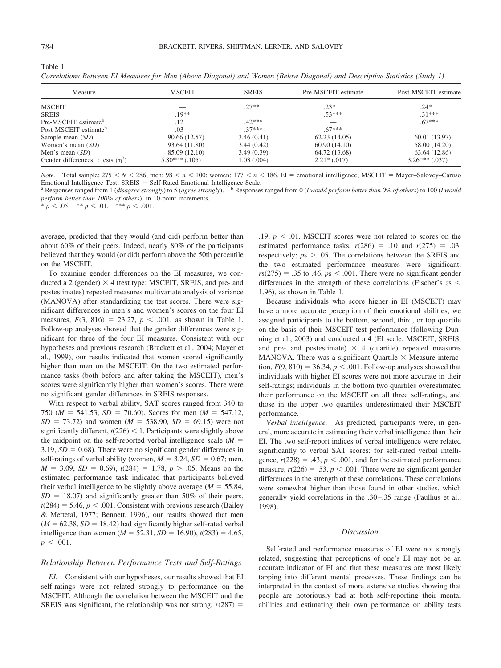| Measure                             | <b>MSCEIT</b>    | <b>SREIS</b> | Pre-MSCEIT estimate | Post-MSCEIT estimate |
|-------------------------------------|------------------|--------------|---------------------|----------------------|
| <b>MSCEIT</b>                       |                  | $27**$       | $.23*$              | $.24*$               |
| SREIS <sup>a</sup>                  | $.19**$          |              | $.53***$            | $31***$              |
| Pre-MSCEIT estimate <sup>b</sup>    | .12              | $.42***$     |                     | $67***$              |
| Post-MSCEIT estimate <sup>b</sup>   | .03              | $37***$      | $.67***$            |                      |
| Sample mean $(SD)$                  | 90.66 (12.57)    | 3.46(0.41)   | 62.23(14.05)        | 60.01 (13.97)        |
| Women's mean $(SD)$                 | 93.64 (11.80)    | 3.44(0.42)   | 60.90(14.10)        | 58.00 (14.20)        |
| Men's mean $(SD)$                   | 85.09 (12.10)    | 3.49(0.39)   | 64.72 (13.68)       | 63.64 (12.86)        |
| Gender differences: t tests $(n^2)$ | $5.80***$ (.105) | 1.03(0.004)  | $2.21*(0.017)$      | $3.26***$ (.037)     |

*Correlations Between EI Measures for Men (Above Diagonal) and Women (Below Diagonal) and Descriptive Statistics (Study 1)*

*Note.* Total sample:  $275 \le N \le 286$ ; men:  $98 \le n \le 100$ ; women:  $177 \le n \le 186$ . EI = emotional intelligence; MSCEIT = Mayer–Salovey–Caruso Emotional Intelligence Test; SREIS = Self-Rated Emotional Intelligence Scale.<br><sup>a</sup> Responses ranged from 1 (*disagree strongly*) to 5 (*agree strongly*). <sup>b</sup> Responses ranged from 0 (*I would perform better than 0% of other* 

*perform better than 100% of others*), in 10-point increments.

 $* p < .05.$   $* p < .01.$   $* p < .001.$ 

average, predicted that they would (and did) perform better than about 60% of their peers. Indeed, nearly 80% of the participants believed that they would (or did) perform above the 50th percentile on the MSCEIT.

To examine gender differences on the EI measures, we conducted a 2 (gender)  $\times$  4 (test type: MSCEIT, SREIS, and pre- and postestimates) repeated measures multivariate analysis of variance (MANOVA) after standardizing the test scores. There were significant differences in men's and women's scores on the four EI measures,  $F(3, 816) = 23.27, p < .001$ , as shown in Table 1. Follow-up analyses showed that the gender differences were significant for three of the four EI measures. Consistent with our hypotheses and previous research (Brackett et al., 2004; Mayer et al., 1999), our results indicated that women scored significantly higher than men on the MSCEIT. On the two estimated performance tasks (both before and after taking the MSCEIT), men's scores were significantly higher than women's scores. There were no significant gender differences in SREIS responses.

With respect to verbal ability, SAT scores ranged from 340 to 750 ( $M = 541.53$ ,  $SD = 70.60$ ). Scores for men ( $M = 547.12$ ,  $SD = 73.72$ ) and women ( $M = 538.90$ ,  $SD = 69.15$ ) were not significantly different,  $t(226)$  < 1. Participants were slightly above the midpoint on the self-reported verbal intelligence scale  $(M =$ 3.19,  $SD = 0.68$ ). There were no significant gender differences in self-ratings of verbal ability (women,  $M = 3.24$ ,  $SD = 0.67$ ; men,  $M = 3.09$ ,  $SD = 0.69$ ),  $t(284) = 1.78$ ,  $p > .05$ . Means on the estimated performance task indicated that participants believed their verbal intelligence to be slightly above average  $(M = 55.84,$  $SD = 18.07$ ) and significantly greater than 50% of their peers,  $t(284) = 5.46$ ,  $p < .001$ . Consistent with previous research (Bailey & Mettetal, 1977; Bennett, 1996), our results showed that men  $(M = 62.38, SD = 18.42)$  had significantly higher self-rated verbal intelligence than women ( $M = 52.31$ ,  $SD = 16.90$ ),  $t(283) = 4.65$ ,  $p < .001$ .

#### *Relationship Between Performance Tests and Self-Ratings*

*EI.* Consistent with our hypotheses, our results showed that EI self-ratings were not related strongly to performance on the MSCEIT. Although the correlation between the MSCEIT and the SREIS was significant, the relationship was not strong,  $r(287)$  =

.19,  $p < .01$ . MSCEIT scores were not related to scores on the estimated performance tasks,  $r(286) = .10$  and  $r(275) = .03$ , respectively;  $p_s$   $>$  .05. The correlations between the SREIS and the two estimated performance measures were significant,  $r s(275) = .35$  to .46,  $p s < .001$ . There were no significant gender differences in the strength of these correlations (Fischer's *z*s 1.96), as shown in Table 1.

Because individuals who score higher in EI (MSCEIT) may have a more accurate perception of their emotional abilities, we assigned participants to the bottom, second, third, or top quartile on the basis of their MSCEIT test performance (following Dunning et al., 2003) and conducted a 4 (EI scale: MSCEIT, SREIS, and pre- and postestimate)  $\times$  4 (quartile) repeated measures MANOVA. There was a significant Quartile  $\times$  Measure interaction,  $F(9, 810) = 36.34$ ,  $p < .001$ . Follow-up analyses showed that individuals with higher EI scores were not more accurate in their self-ratings; individuals in the bottom two quartiles overestimated their performance on the MSCEIT on all three self-ratings, and those in the upper two quartiles underestimated their MSCEIT performance.

*Verbal intelligence.* As predicted, participants were, in general, more accurate in estimating their verbal intelligence than their EI. The two self-report indices of verbal intelligence were related significantly to verbal SAT scores: for self-rated verbal intelligence,  $r(228) = .43$ ,  $p < .001$ , and for the estimated performance measure,  $r(226) = .53$ ,  $p < .001$ . There were no significant gender differences in the strength of these correlations. These correlations were somewhat higher than those found in other studies, which generally yield correlations in the .30 –.35 range (Paulhus et al., 1998).

#### *Discussion*

Self-rated and performance measures of EI were not strongly related, suggesting that perceptions of one's EI may not be an accurate indicator of EI and that these measures are most likely tapping into different mental processes. These findings can be interpreted in the context of more extensive studies showing that people are notoriously bad at both self-reporting their mental abilities and estimating their own performance on ability tests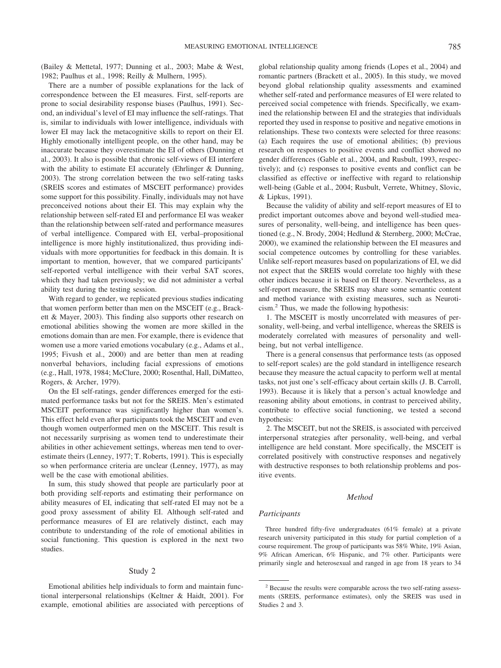(Bailey & Mettetal, 1977; Dunning et al., 2003; Mabe & West, 1982; Paulhus et al., 1998; Reilly & Mulhern, 1995).

There are a number of possible explanations for the lack of correspondence between the EI measures. First, self-reports are prone to social desirability response biases (Paulhus, 1991). Second, an individual's level of EI may influence the self-ratings. That is, similar to individuals with lower intelligence, individuals with lower EI may lack the metacognitive skills to report on their EI. Highly emotionally intelligent people, on the other hand, may be inaccurate because they overestimate the EI of others (Dunning et al., 2003). It also is possible that chronic self-views of EI interfere with the ability to estimate EI accurately (Ehrlinger & Dunning, 2003). The strong correlation between the two self-rating tasks (SREIS scores and estimates of MSCEIT performance) provides some support for this possibility. Finally, individuals may not have preconceived notions about their EI. This may explain why the relationship between self-rated EI and performance EI was weaker than the relationship between self-rated and performance measures of verbal intelligence. Compared with EI, verbal–propositional intelligence is more highly institutionalized, thus providing individuals with more opportunities for feedback in this domain. It is important to mention, however, that we compared participants' self-reported verbal intelligence with their verbal SAT scores, which they had taken previously; we did not administer a verbal ability test during the testing session.

With regard to gender, we replicated previous studies indicating that women perform better than men on the MSCEIT (e.g., Brackett & Mayer, 2003). This finding also supports other research on emotional abilities showing the women are more skilled in the emotions domain than are men. For example, there is evidence that women use a more varied emotions vocabulary (e.g., Adams et al., 1995; Fivush et al., 2000) and are better than men at reading nonverbal behaviors, including facial expressions of emotions (e.g., Hall, 1978, 1984; McClure, 2000; Rosenthal, Hall, DiMatteo, Rogers, & Archer, 1979).

On the EI self-ratings, gender differences emerged for the estimated performance tasks but not for the SREIS. Men's estimated MSCEIT performance was significantly higher than women's. This effect held even after participants took the MSCEIT and even though women outperformed men on the MSCEIT. This result is not necessarily surprising as women tend to underestimate their abilities in other achievement settings, whereas men tend to overestimate theirs (Lenney, 1977; T. Roberts, 1991). This is especially so when performance criteria are unclear (Lenney, 1977), as may well be the case with emotional abilities.

In sum, this study showed that people are particularly poor at both providing self-reports and estimating their performance on ability measures of EI, indicating that self-rated EI may not be a good proxy assessment of ability EI. Although self-rated and performance measures of EI are relatively distinct, each may contribute to understanding of the role of emotional abilities in social functioning. This question is explored in the next two studies.

#### Study 2

Emotional abilities help individuals to form and maintain functional interpersonal relationships (Keltner & Haidt, 2001). For example, emotional abilities are associated with perceptions of global relationship quality among friends (Lopes et al., 2004) and romantic partners (Brackett et al., 2005). In this study, we moved beyond global relationship quality assessments and examined whether self-rated and performance measures of EI were related to perceived social competence with friends. Specifically, we examined the relationship between EI and the strategies that individuals reported they used in response to positive and negative emotions in relationships. These two contexts were selected for three reasons: (a) Each requires the use of emotional abilities; (b) previous research on responses to positive events and conflict showed no gender differences (Gable et al., 2004, and Rusbult, 1993, respectively); and (c) responses to positive events and conflict can be classified as effective or ineffective with regard to relationship well-being (Gable et al., 2004; Rusbult, Verrete, Whitney, Slovic, & Lipkus, 1991).

Because the validity of ability and self-report measures of EI to predict important outcomes above and beyond well-studied measures of personality, well-being, and intelligence has been questioned (e.g., N. Brody, 2004; Hedlund & Sternberg, 2000; McCrae, 2000), we examined the relationship between the EI measures and social competence outcomes by controlling for these variables. Unlike self-report measures based on popularizations of EI, we did not expect that the SREIS would correlate too highly with these other indices because it is based on EI theory. Nevertheless, as a self-report measure, the SREIS may share some semantic content and method variance with existing measures, such as Neuroticism.2 Thus, we made the following hypothesis:

1. The MSCEIT is mostly uncorrelated with measures of personality, well-being, and verbal intelligence, whereas the SREIS is moderately correlated with measures of personality and wellbeing, but not verbal intelligence.

There is a general consensus that performance tests (as opposed to self-report scales) are the gold standard in intelligence research because they measure the actual capacity to perform well at mental tasks, not just one's self-efficacy about certain skills (J. B. Carroll, 1993). Because it is likely that a person's actual knowledge and reasoning ability about emotions, in contrast to perceived ability, contribute to effective social functioning, we tested a second hypothesis:

2. The MSCEIT, but not the SREIS, is associated with perceived interpersonal strategies after personality, well-being, and verbal intelligence are held constant. More specifically, the MSCEIT is correlated positively with constructive responses and negatively with destructive responses to both relationship problems and positive events.

#### *Method*

#### *Participants*

Three hundred fifty-five undergraduates (61% female) at a private research university participated in this study for partial completion of a course requirement. The group of participants was 58% White, 19% Asian, 9% African American, 6% Hispanic, and 7% other. Participants were primarily single and heterosexual and ranged in age from 18 years to 34

<sup>&</sup>lt;sup>2</sup> Because the results were comparable across the two self-rating assessments (SREIS, performance estimates), only the SREIS was used in Studies 2 and 3.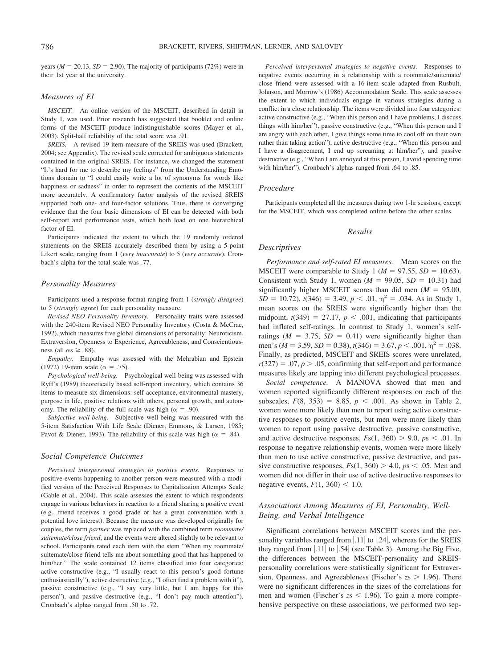years ( $M = 20.13$ ,  $SD = 2.90$ ). The majority of participants (72%) were in their 1st year at the university.

#### *Measures of EI*

*MSCEIT.* An online version of the MSCEIT, described in detail in Study 1, was used. Prior research has suggested that booklet and online forms of the MSCEIT produce indistinguishable scores (Mayer et al., 2003). Split-half reliability of the total score was .91.

*SREIS.* A revised 19-item measure of the SREIS was used (Brackett, 2004; see Appendix). The revised scale corrected for ambiguous statements contained in the original SREIS. For instance, we changed the statement "It's hard for me to describe my feelings" from the Understanding Emotions domain to "I could easily write a lot of synonyms for words like happiness or sadness" in order to represent the contents of the MSCEIT more accurately. A confirmatory factor analysis of the revised SREIS supported both one- and four-factor solutions. Thus, there is converging evidence that the four basic dimensions of EI can be detected with both self-report and performance tests, which both load on one hierarchical factor of EI.

Participants indicated the extent to which the 19 randomly ordered statements on the SREIS accurately described them by using a 5-point Likert scale, ranging from 1 (*very inaccurate*) to 5 (*very accurate*). Cronbach's alpha for the total scale was .77.

#### *Personality Measures*

Participants used a response format ranging from 1 (*strongly disagree*) to 5 (*strongly agree*) for each personality measure.

*Revised NEO Personality Inventory.* Personality traits were assessed with the 240-item Revised NEO Personality Inventory (Costa & McCrae, 1992), which measures five global dimensions of personality: Neuroticism, Extraversion, Openness to Experience, Agreeableness, and Conscientiousness (all  $\alpha s \ge .88$ ).

*Empathy.* Empathy was assessed with the Mehrabian and Epstein (1972) 19-item scale ( $\alpha = .75$ ).

*Psychological well-being.* Psychological well-being was assessed with Ryff's (1989) theoretically based self-report inventory, which contains 36 items to measure six dimensions: self-acceptance, environmental mastery, purpose in life, positive relations with others, personal growth, and autonomy. The reliability of the full scale was high ( $\alpha = .90$ ).

*Subjective well-being.* Subjective well-being was measured with the 5-item Satisfaction With Life Scale (Diener, Emmons, & Larsen, 1985; Pavot & Diener, 1993). The reliability of this scale was high ( $\alpha = .84$ ).

#### *Social Competence Outcomes*

*Perceived interpersonal strategies to positive events.* Responses to positive events happening to another person were measured with a modified version of the Perceived Responses to Capitalization Attempts Scale (Gable et al., 2004). This scale assesses the extent to which respondents engage in various behaviors in reaction to a friend sharing a positive event (e.g., friend receives a good grade or has a great conversation with a potential love interest). Because the measure was developed originally for couples, the term *partner* was replaced with the combined term *roommate/ suitemate/close friend*, and the events were altered slightly to be relevant to school. Participants rated each item with the stem "When my roommate/ suitemate/close friend tells me about something good that has happened to him/her." The scale contained 12 items classified into four categories: active constructive (e.g., "I usually react to this person's good fortune enthusiastically"), active destructive (e.g., "I often find a problem with it"), passive constructive (e.g., "I say very little, but I am happy for this person"), and passive destructive (e.g., "I don't pay much attention"). Cronbach's alphas ranged from .50 to .72.

*Perceived interpersonal strategies to negative events.* Responses to negative events occurring in a relationship with a roommate/suitemate/ close friend were assessed with a 16-item scale adapted from Rusbult, Johnson, and Morrow's (1986) Accommodation Scale. This scale assesses the extent to which individuals engage in various strategies during a conflict in a close relationship. The items were divided into four categories: active constructive (e.g., "When this person and I have problems, I discuss things with him/her"), passive constructive (e.g., "When this person and I are angry with each other, I give things some time to cool off on their own rather than taking action"), active destructive (e.g., "When this person and I have a disagreement, I end up screaming at him/her"), and passive destructive (e.g., "When I am annoyed at this person, I avoid spending time with him/her"). Cronbach's alphas ranged from .64 to .85.

#### *Procedure*

Participants completed all the measures during two 1-hr sessions, except for the MSCEIT, which was completed online before the other scales.

#### *Results*

#### *Descriptives*

*Performance and self-rated EI measures.* Mean scores on the MSCEIT were comparable to Study 1 ( $M = 97.55$ ,  $SD = 10.63$ ). Consistent with Study 1, women  $(M = 99.05, SD = 10.31)$  had significantly higher MSCEIT scores than did men  $(M = 95.00,$  $SD = 10.72$ ,  $t(346) = 3.49$ ,  $p < .01$ ,  $\eta^2 = .034$ . As in Study 1, mean scores on the SREIS were significantly higher than the midpoint,  $t(349) = 27.17$ ,  $p < .001$ , indicating that participants had inflated self-ratings. In contrast to Study 1, women's selfratings ( $M = 3.75$ ,  $SD = 0.41$ ) were significantly higher than men's ( $M = 3.59$ ,  $SD = 0.38$ ),  $t(346) = 3.67$ ,  $p < .001$ ,  $\eta^2 = .038$ . Finally, as predicted, MSCEIT and SREIS scores were unrelated,  $r(327) = .07, p > .05$ , confirming that self-report and performance measures likely are tapping into different psychological processes.

*Social competence.* A MANOVA showed that men and women reported significantly different responses on each of the subscales,  $F(8, 353) = 8.85, p < .001$ . As shown in Table 2, women were more likely than men to report using active constructive responses to positive events, but men were more likely than women to report using passive destructive, passive constructive, and active destructive responses,  $Fs(1, 360) > 9.0$ ,  $ps < .01$ . In response to negative relationship events, women were more likely than men to use active constructive, passive destructive, and passive constructive responses,  $Fs(1, 360) > 4.0$ ,  $ps < .05$ . Men and women did not differ in their use of active destructive responses to negative events,  $F(1, 360) < 1.0$ .

# *Associations Among Measures of EI, Personality, Well-Being, and Verbal Intelligence*

Significant correlations between MSCEIT scores and the personality variables ranged from  $|.11|$  to  $|.24|$ , whereas for the SREIS they ranged from  $|.11|$  to  $|.54|$  (see Table 3). Among the Big Five, the differences between the MSCEIT-personality and SREISpersonality correlations were statistically significant for Extraversion, Openness, and Agreeableness (Fischer's  $zs > 1.96$ ). There were no significant differences in the sizes of the correlations for men and women (Fischer's  $zs < 1.96$ ). To gain a more comprehensive perspective on these associations, we performed two sep-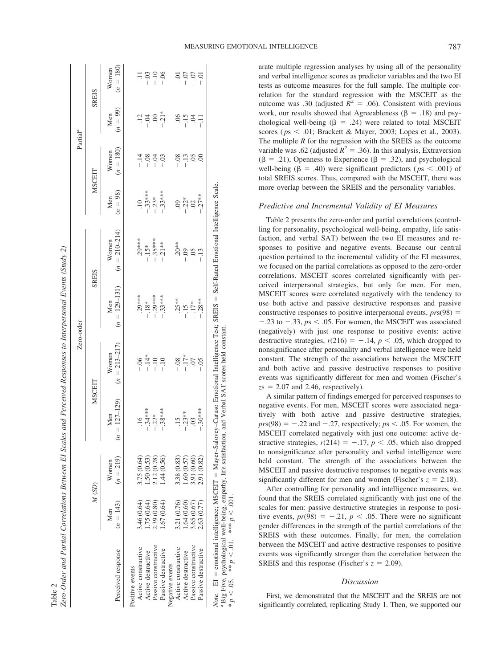|                                                                                                                                                                                                                               |                    |                               |                          |                                          | Zero-order             |                          |                   |                      | Partial <sup>a</sup> |                      |
|-------------------------------------------------------------------------------------------------------------------------------------------------------------------------------------------------------------------------------|--------------------|-------------------------------|--------------------------|------------------------------------------|------------------------|--------------------------|-------------------|----------------------|----------------------|----------------------|
|                                                                                                                                                                                                                               |                    | M(SD)                         |                          | <b>MSCEIT</b>                            |                        | <b>SREIS</b>             |                   | MSCEIT               |                      | <b>SREIS</b>         |
| Perceived response                                                                                                                                                                                                            | $(n = 143)$<br>Men | $(n = 219)$<br>Women          | $(n = 127 - 129)$<br>Men | $(n = 213 - 217)$<br>Women               | $(n = 129-131)$<br>Men | $(n = 210-214)$<br>Women | $(n = 98)$<br>Men | $(n = 180)$<br>Women | $(n = 99)$<br>Men    | $(n = 180)$<br>Women |
| Positive events                                                                                                                                                                                                               |                    |                               |                          |                                          |                        |                          |                   |                      |                      |                      |
| Active constructive                                                                                                                                                                                                           | 3.46 (0.64)        | 3.75 (0.64)                   | $\overline{.16}$         |                                          | $.29***$               | $.29***$                 | $\overline{10}$   | $-14$                |                      |                      |
| Active destructive                                                                                                                                                                                                            | 1.75(0.64)         | 1.50(0.53)                    | $-.34***$                |                                          | $-.18*$                | $-15*$                   | $-.33***$         | $-0.8$               | $-12$<br>$-12$       | $-03$                |
| Passive constructive                                                                                                                                                                                                          | 2.39 (0.80)        | $2.12(0.78)$<br>1.44 $(0.56)$ | $-.22*$                  | $8449$<br>$-194$<br>$-194$               | $-0.29***$             | $-35***$                 | $-.23*$           | $-0.4$               | $\odot$              | $-10$                |
| Passive destructive                                                                                                                                                                                                           | 1.67(0.64)         |                               | $-.38***$                |                                          | $-33***$               | $-21**$                  | $-.33***$         | $-0.03$              | $-.21*$              | $-06$                |
| Negative events                                                                                                                                                                                                               |                    |                               |                          |                                          |                        |                          |                   |                      |                      |                      |
| Active constructive                                                                                                                                                                                                           | 3.21 (0.76)        | 3.38 (0.83)                   | $-15$                    | $-0.08$                                  | $.25**$                | $.20**$                  | S.                | $-0.8$               | $\frac{6}{2}$        | ą                    |
| Active destructive                                                                                                                                                                                                            | 1.64(0.60)         | 1.60(0.57)                    | $-.23**$                 | $-17*$                                   | $-15$                  | $-0.09$                  | $-.22*$           | $-13$                | $-15$                | $-0$ .               |
| Passive constructive                                                                                                                                                                                                          | 3.65 (0.67)        | 3.91 (0.60)                   | $-.03$                   | $\overline{0}$ .                         | $-17*$                 | $-0.5$                   | $-0.02$           | $\overline{50}$      | $-0.4$               | $-0.7$               |
| Passive destructive                                                                                                                                                                                                           | 2.63(0.77)         | 2.91 (0.82)                   | $-30**$                  | $-0.5$                                   | $-.28**$               | $-13$                    | $-27**$           |                      |                      | $-0.1$               |
| Note. El = emotional intelligence; MSCEIT = Mayer-Salovey-Caruso Emotional Intelligence Test; SREIS = Self-Rated Emotional Intelligence Scale.<br><sup>a</sup> Big Five, psychological well-being, empathy, life satisfaction |                    |                               |                          | on, and Verbal SAT scores held constant. |                        |                          |                   |                      |                      |                      |
| * $p < .05$ , ** $p < .01$ , *** $p < .001$ .                                                                                                                                                                                 |                    |                               |                          |                                          |                        |                          |                   |                      |                      |                      |

arate multiple regression analyses by using all of the personality and verbal intelligence scores as predictor variables and the two EI tests as outcome measures for the full sample. The multiple correlation for the standard regression with the MSCEIT as the outcome was .30 (adjusted  $R^2 = .06$ ). Consistent with previous work, our results showed that Agreeableness ( $\beta$  = .18) and psychological well-being  $( \beta = .24)$  were related to total MSCEIT scores ( $ps < .01$ ; Brackett & Mayer, 2003; Lopes et al., 2003). The multiple *R* for the regression with the SREIS as the outcome variable was .62 (adjusted  $R^2 = .36$ ). In this analysis, Extraversion  $(\beta = .21)$ , Openness to Experience ( $\beta = .32$ ), and psychological well-being ( $\beta$  = .40) were significant predictors ( $p_s$  < .001) of total SREIS scores. Thus, compared with the MSCEIT, there was more overlap between the SREIS and the personality variables.

#### *Predictive and Incremental Validity of EI Measures*

Table 2 presents the zero-order and partial correlations (controlling for personality, psychological well-being, empathy, life satisfaction, and verbal SAT) between the two EI measures and responses to positive and negative events. Because our central question pertained to the incremental validity of the EI measures, we focused on the partial correlations as opposed to the zero-order correlations. MSCEIT scores correlated significantly with perceived interpersonal strategies, but only for men. For men, MSCEIT scores were correlated negatively with the tendency to use both active and passive destructive responses and passive constructive responses to positive interpersonal events, *pr*s(98)  $-.23$  to  $-.33$ ,  $ps < .05$ . For women, the MSCEIT was associated (negatively) with just one response to positive events: active destructive strategies,  $r(216) = -.14$ ,  $p < .05$ , which dropped to nonsignificance after personality and verbal intelligence were held constant. The strength of the associations between the MSCEIT and both active and passive destructive responses to positive events was significantly different for men and women (Fischer's  $z_s$  = 2.07 and 2.46, respectively).

A similar pattern of findings emerged for perceived responses to negative events. For men, MSCEIT scores were associated negatively with both active and passive destructive strategies,  $prs(98) = -.22$  and  $-.27$ , respectively;  $ps < .05$ . For women, the MSCEIT correlated negatively with just one outcome: active destructive strategies,  $r(214) = -.17$ ,  $p < .05$ , which also dropped to nonsignificance after personality and verbal intelligence were held constant. The strength of the associations between the MSCEIT and passive destructive responses to negative events was significantly different for men and women (Fischer's  $z = 2.18$ ).

After controlling for personality and intelligence measures, we found that the SREIS correlated significantly with just one of the scales for men: passive destructive strategies in response to positive events,  $pr(98) = -.21$ ,  $p < .05$ . There were no significant gender differences in the strength of the partial correlations of the SREIS with these outcomes. Finally, for men, the correlation between the MSCEIT and active destructive responses to positive events was significantly stronger than the correlation between the SREIS and this response (Fischer's  $z = 2.09$ ).

#### *Discussion*

First, we demonstrated that the MSCEIT and the SREIS are not significantly correlated, replicating Study 1. Then, we supported our

 ${}^{*}p$  < .05.  ${}^{**}p$  < .01.  ${}^{***}p$  < .001.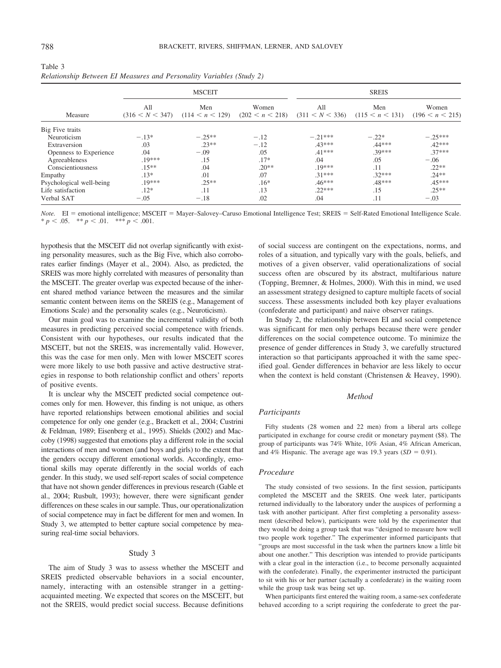|                          |                        | <b>MSCEIT</b>                |                          | <b>SREIS</b>           |                              |                                |
|--------------------------|------------------------|------------------------------|--------------------------|------------------------|------------------------------|--------------------------------|
| Measure                  | All<br>(316 < N < 347) | Men<br>$(114 \le n \le 129)$ | Women<br>(202 < n < 218) | All<br>(311 < N < 336) | Men<br>$(115 \le n \le 131)$ | Women<br>$(196 \le n \le 215)$ |
| Big Five traits          |                        |                              |                          |                        |                              |                                |
| Neuroticism              | $-.13*$                | $-.25**$                     | $-.12$                   | $-.21***$              | $-.22*$                      | $-.25***$                      |
| Extraversion             | .03                    | $.23**$                      | $-.12$                   | 43***                  | .44***                       | $.42***$                       |
| Openness to Experience   | .04                    | $-.09$                       | .05                      | $.41***$               | $.39***$                     | $.37***$                       |
| Agreeableness            | $.19***$               | .15                          | $.17*$                   | .04                    | .05                          | $-.06$                         |
| Conscientiousness        | $.15**$                | .04                          | $.20**$                  | $.19***$               | .11                          | $.22**$                        |
| Empathy                  | $.13*$                 | .01                          | .07                      | $.31***$               | $.32***$                     | $.24**$                        |
| Psychological well-being | $.19***$               | $.25**$                      | $.16*$                   | $.46***$               | .48***                       | $.45***$                       |
| Life satisfaction        | $.12*$                 | .11                          | .13                      | $.22***$               | .15                          | $.25**$                        |
| Verbal SAT               | $-.05$                 | $-.18$                       | .02                      | .04                    | .11                          | $-.03$                         |

| Relationship Between EI Measures and Personality Variables (Study 2) |  |  |
|----------------------------------------------------------------------|--|--|
|                                                                      |  |  |

*Note.* EI = emotional intelligence; MSCEIT = Mayer-Salovey-Caruso Emotional Intelligence Test; SREIS = Self-Rated Emotional Intelligence Scale.  $* p < .05.$  \*\*  $p < .01.$  \*\*\*  $p < .001.$ 

hypothesis that the MSCEIT did not overlap significantly with existing personality measures, such as the Big Five, which also corroborates earlier findings (Mayer et al., 2004). Also, as predicted, the SREIS was more highly correlated with measures of personality than the MSCEIT. The greater overlap was expected because of the inherent shared method variance between the measures and the similar semantic content between items on the SREIS (e.g., Management of Emotions Scale) and the personality scales (e.g., Neuroticism).

Our main goal was to examine the incremental validity of both measures in predicting perceived social competence with friends. Consistent with our hypotheses, our results indicated that the MSCEIT, but not the SREIS, was incrementally valid. However, this was the case for men only. Men with lower MSCEIT scores were more likely to use both passive and active destructive strategies in response to both relationship conflict and others' reports of positive events.

It is unclear why the MSCEIT predicted social competence outcomes only for men. However, this finding is not unique, as others have reported relationships between emotional abilities and social competence for only one gender (e.g., Brackett et al., 2004; Custrini & Feldman, 1989; Eisenberg et al., 1995). Shields (2002) and Maccoby (1998) suggested that emotions play a different role in the social interactions of men and women (and boys and girls) to the extent that the genders occupy different emotional worlds. Accordingly, emotional skills may operate differently in the social worlds of each gender. In this study, we used self-report scales of social competence that have not shown gender differences in previous research (Gable et al., 2004; Rusbult, 1993); however, there were significant gender differences on these scales in our sample. Thus, our operationalization of social competence may in fact be different for men and women. In Study 3, we attempted to better capture social competence by measuring real-time social behaviors.

#### Study 3

The aim of Study 3 was to assess whether the MSCEIT and SREIS predicted observable behaviors in a social encounter, namely, interacting with an ostensible stranger in a gettingacquainted meeting. We expected that scores on the MSCEIT, but not the SREIS, would predict social success. Because definitions of social success are contingent on the expectations, norms, and roles of a situation, and typically vary with the goals, beliefs, and motives of a given observer, valid operationalizations of social success often are obscured by its abstract, multifarious nature (Topping, Bremner, & Holmes, 2000). With this in mind, we used an assessment strategy designed to capture multiple facets of social success. These assessments included both key player evaluations (confederate and participant) and naive observer ratings.

In Study 2, the relationship between EI and social competence was significant for men only perhaps because there were gender differences on the social competence outcome. To minimize the presence of gender differences in Study 3, we carefully structured interaction so that participants approached it with the same specified goal. Gender differences in behavior are less likely to occur when the context is held constant (Christensen & Heavey, 1990).

#### *Method*

# *Participants*

Fifty students (28 women and 22 men) from a liberal arts college participated in exchange for course credit or monetary payment (\$8). The group of participants was 74% White, 10% Asian, 4% African American, and 4% Hispanic. The average age was 19.3 years  $(SD = 0.91)$ .

#### *Procedure*

The study consisted of two sessions. In the first session, participants completed the MSCEIT and the SREIS. One week later, participants returned individually to the laboratory under the auspices of performing a task with another participant. After first completing a personality assessment (described below), participants were told by the experimenter that they would be doing a group task that was "designed to measure how well two people work together." The experimenter informed participants that "groups are most successful in the task when the partners know a little bit about one another." This description was intended to provide participants with a clear goal in the interaction (i.e., to become personally acquainted with the confederate). Finally, the experimenter instructed the participant to sit with his or her partner (actually a confederate) in the waiting room while the group task was being set up.

When participants first entered the waiting room, a same-sex confederate behaved according to a script requiring the confederate to greet the par-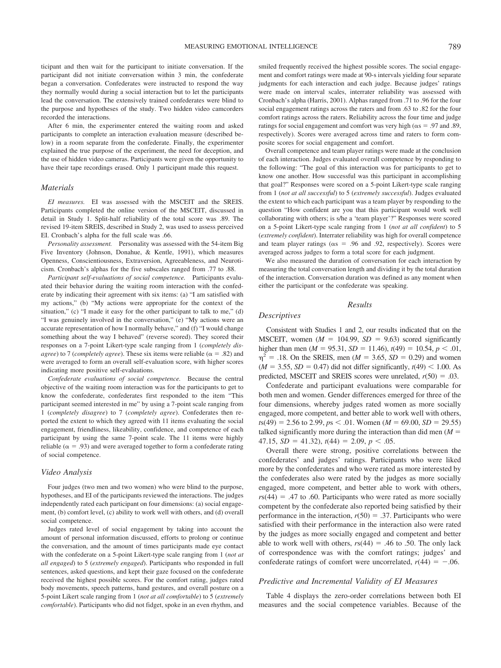ticipant and then wait for the participant to initiate conversation. If the participant did not initiate conversation within 3 min, the confederate began a conversation. Confederates were instructed to respond the way they normally would during a social interaction but to let the participants lead the conversation. The extensively trained confederates were blind to the purpose and hypotheses of the study. Two hidden video camcorders recorded the interactions.

After 6 min, the experimenter entered the waiting room and asked participants to complete an interaction evaluation measure (described below) in a room separate from the confederate. Finally, the experimenter explained the true purpose of the experiment, the need for deception, and the use of hidden video cameras. Participants were given the opportunity to have their tape recordings erased. Only 1 participant made this request.

#### *Materials*

*EI measures.* EI was assessed with the MSCEIT and the SREIS. Participants completed the online version of the MSCEIT, discussed in detail in Study 1. Split-half reliability of the total score was .89. The revised 19-item SREIS, described in Study 2, was used to assess perceived EI. Cronbach's alpha for the full scale was .66.

*Personality assessment.* Personality was assessed with the 54-item Big Five Inventory (Johnson, Donahue, & Kentle, 1991), which measures Openness, Conscientiousness, Extraversion, Agreeableness, and Neuroticism. Cronbach's alphas for the five subscales ranged from .77 to .88.

*Participant self-evaluations of social competence.* Participants evaluated their behavior during the waiting room interaction with the confederate by indicating their agreement with six items: (a) "I am satisfied with my actions," (b) "My actions were appropriate for the context of the situation," (c) "I made it easy for the other participant to talk to me," (d) "I was genuinely involved in the conversation," (e) "My actions were an accurate representation of how I normally behave," and (f) "I would change something about the way I behaved" (reverse scored). They scored their responses on a 7-point Likert-type scale ranging from 1 (*completely disagree*) to 7 (*completely agree*). These six items were reliable ( $\alpha$  = .82) and were averaged to form an overall self-evaluation score, with higher scores indicating more positive self-evaluations.

*Confederate evaluations of social competence.* Because the central objective of the waiting room interaction was for the participants to get to know the confederate, confederates first responded to the item "This participant seemed interested in me" by using a 7-point scale ranging from 1 (*completely disagree*) to 7 (*completely agree*). Confederates then reported the extent to which they agreed with 11 items evaluating the social engagement, friendliness, likeability, confidence, and competence of each participant by using the same 7-point scale. The 11 items were highly reliable ( $\alpha = .93$ ) and were averaged together to form a confederate rating of social competence.

#### *Video Analysis*

Four judges (two men and two women) who were blind to the purpose, hypotheses, and EI of the participants reviewed the interactions. The judges independently rated each participant on four dimensions: (a) social engagement, (b) comfort level, (c) ability to work well with others, and (d) overall social competence.

Judges rated level of social engagement by taking into account the amount of personal information discussed, efforts to prolong or continue the conversation, and the amount of times participants made eye contact with the confederate on a 5-point Likert-type scale ranging from 1 (*not at all engaged*) to 5 (*extremely engaged*). Participants who responded in full sentences, asked questions, and kept their gaze focused on the confederate received the highest possible scores. For the comfort rating, judges rated body movements, speech patterns, hand gestures, and overall posture on a 5-point Likert scale ranging from 1 (*not at all comfortable*) to 5 (*extremely comfortable*). Participants who did not fidget, spoke in an even rhythm, and

smiled frequently received the highest possible scores. The social engagement and comfort ratings were made at 90-s intervals yielding four separate judgments for each interaction and each judge. Because judges' ratings were made on interval scales, interrater reliability was assessed with Cronbach's alpha (Harris, 2001). Alphas ranged from .71 to .96 for the four social engagement ratings across the raters and from .63 to .82 for the four comfort ratings across the raters. Reliability across the four time and judge ratings for social engagement and comfort was very high ( $\alpha s = .97$  and .89, respectively). Scores were averaged across time and raters to form composite scores for social engagement and comfort.

Overall competence and team player ratings were made at the conclusion of each interaction. Judges evaluated overall competence by responding to the following: "The goal of this interaction was for participants to get to know one another. How successful was this participant in accomplishing that goal?" Responses were scored on a 5-point Likert-type scale ranging from 1 (*not at all successful*) to 5 (*extremely successful*). Judges evaluated the extent to which each participant was a team player by responding to the question "How confident are you that this participant would work well collaborating with others; is s/he a 'team player'?" Responses were scored on a 5-point Likert-type scale ranging from 1 (*not at all confident*) to 5 (*extremely confident*). Interrater reliability was high for overall competence and team player ratings ( $\alpha s = .96$  and .92, respectively). Scores were averaged across judges to form a total score for each judgment.

We also measured the duration of conversation for each interaction by measuring the total conversation length and dividing it by the total duration of the interaction. Conversation duration was defined as any moment when either the participant or the confederate was speaking.

#### *Results*

#### *Descriptives*

Consistent with Studies 1 and 2, our results indicated that on the MSCEIT, women  $(M = 104.99, SD = 9.63)$  scored significantly higher than men ( $M = 95.31$ ,  $SD = 11.46$ ),  $t(49) = 10.54$ ,  $p < .01$ ,  $\eta^2 = .18$ . On the SREIS, men (*M* = 3.65, *SD* = 0.29) and women  $(M = 3.55, SD = 0.47)$  did not differ significantly,  $t(49) < 1.00$ . As predicted, MSCEIT and SREIS scores were unrelated,  $r(50) = .03$ .

Confederate and participant evaluations were comparable for both men and women. Gender differences emerged for three of the four dimensions, whereby judges rated women as more socially engaged, more competent, and better able to work well with others,  $t s(49) = 2.56$  to 2.99,  $ps < .01$ . Women ( $M = 69.00$ ,  $SD = 29.55$ ) talked significantly more during the interaction than did men  $(M =$ 47.15,  $SD = 41.32$ ),  $t(44) = 2.09$ ,  $p < .05$ .

Overall there were strong, positive correlations between the confederates' and judges' ratings. Participants who were liked more by the confederates and who were rated as more interested by the confederates also were rated by the judges as more socially engaged, more competent, and better able to work with others,  $r s(44) = .47$  to .60. Participants who were rated as more socially competent by the confederate also reported being satisfied by their performance in the interaction,  $r(50) = .37$ . Participants who were satisfied with their performance in the interaction also were rated by the judges as more socially engaged and competent and better able to work well with others,  $r s(44) = .46$  to .50. The only lack of correspondence was with the comfort ratings; judges' and confederate ratings of comfort were uncorrelated,  $r(44) = -.06$ .

#### *Predictive and Incremental Validity of EI Measures*

Table 4 displays the zero-order correlations between both EI measures and the social competence variables. Because of the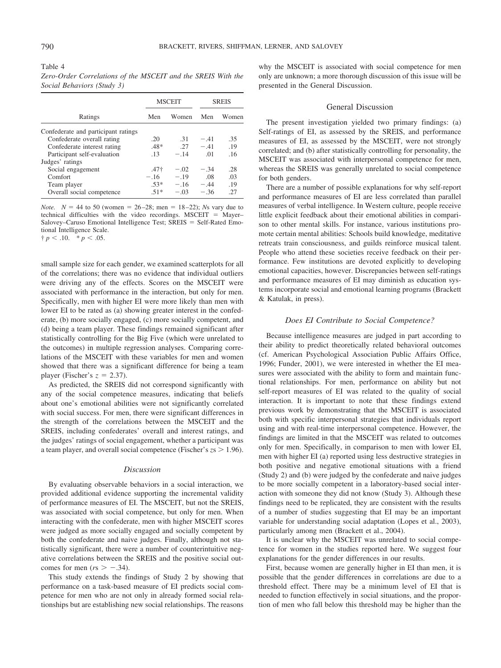*Zero-Order Correlations of the MSCEIT and the SREIS With the Social Behaviors (Study 3)*

|                                     | <b>MSCEIT</b> |        | <b>SREIS</b> |       |
|-------------------------------------|---------------|--------|--------------|-------|
| Ratings                             | Men           | Women  | Men          | Women |
| Confederate and participant ratings |               |        |              |       |
| Confederate overall rating          | -20           | .31    | $-41$        | .35   |
| Confederate interest rating         | $.48*$        | -27    | $-41$        | .19   |
| Participant self-evaluation         | .13           | $-14$  | .01          | .16   |
| Judges' ratings                     |               |        |              |       |
| Social engagement                   | .47†          | $-.02$ | $-.34$       | .28   |
| Comfort                             | $-16$         | $-19$  | .08          | .03   |
| Team player                         | $.53*$        | $-.16$ | $-44$        | .19   |
| Overall social competence           | $.51*$        | $-03$  | $-36$        | -27   |

*Note.*  $N = 44$  to 50 (women = 26–28; men = 18–22); *Ns* vary due to technical difficulties with the video recordings. MSCEIT  $=$  Mayer-Salovey–Caruso Emotional Intelligence Test;  $SREIS = Self-Rated Emo$ tional Intelligence Scale.

 $\dagger p < .10.$   $\ast p < .05.$ 

small sample size for each gender, we examined scatterplots for all of the correlations; there was no evidence that individual outliers were driving any of the effects. Scores on the MSCEIT were associated with performance in the interaction, but only for men. Specifically, men with higher EI were more likely than men with lower EI to be rated as (a) showing greater interest in the confederate, (b) more socially engaged, (c) more socially competent, and (d) being a team player. These findings remained significant after statistically controlling for the Big Five (which were unrelated to the outcomes) in multiple regression analyses. Comparing correlations of the MSCEIT with these variables for men and women showed that there was a significant difference for being a team player (Fischer's  $z = 2.37$ ).

As predicted, the SREIS did not correspond significantly with any of the social competence measures, indicating that beliefs about one's emotional abilities were not significantly correlated with social success. For men, there were significant differences in the strength of the correlations between the MSCEIT and the SREIS, including confederates' overall and interest ratings, and the judges' ratings of social engagement, whether a participant was a team player, and overall social competence (Fischer's  $zs > 1.96$ ).

#### *Discussion*

By evaluating observable behaviors in a social interaction, we provided additional evidence supporting the incremental validity of performance measures of EI. The MSCEIT, but not the SREIS, was associated with social competence, but only for men. When interacting with the confederate, men with higher MSCEIT scores were judged as more socially engaged and socially competent by both the confederate and naive judges. Finally, although not statistically significant, there were a number of counterintuitive negative correlations between the SREIS and the positive social outcomes for men  $(rs > -.34)$ .

This study extends the findings of Study 2 by showing that performance on a task-based measure of EI predicts social competence for men who are not only in already formed social relationships but are establishing new social relationships. The reasons why the MSCEIT is associated with social competence for men only are unknown; a more thorough discussion of this issue will be presented in the General Discussion.

#### General Discussion

The present investigation yielded two primary findings: (a) Self-ratings of EI, as assessed by the SREIS, and performance measures of EI, as assessed by the MSCEIT, were not strongly correlated; and (b) after statistically controlling for personality, the MSCEIT was associated with interpersonal competence for men, whereas the SREIS was generally unrelated to social competence for both genders.

There are a number of possible explanations for why self-report and performance measures of EI are less correlated than parallel measures of verbal intelligence. In Western culture, people receive little explicit feedback about their emotional abilities in comparison to other mental skills. For instance, various institutions promote certain mental abilities: Schools build knowledge, meditative retreats train consciousness, and guilds reinforce musical talent. People who attend these societies receive feedback on their performance. Few institutions are devoted explicitly to developing emotional capacities, however. Discrepancies between self-ratings and performance measures of EI may diminish as education systems incorporate social and emotional learning programs (Brackett & Katulak, in press).

#### *Does EI Contribute to Social Competence?*

Because intelligence measures are judged in part according to their ability to predict theoretically related behavioral outcomes (cf. American Psychological Association Public Affairs Office, 1996; Funder, 2001), we were interested in whether the EI measures were associated with the ability to form and maintain functional relationships. For men, performance on ability but not self-report measures of EI was related to the quality of social interaction. It is important to note that these findings extend previous work by demonstrating that the MSCEIT is associated both with specific interpersonal strategies that individuals report using and with real-time interpersonal competence. However, the findings are limited in that the MSCEIT was related to outcomes only for men. Specifically, in comparison to men with lower EI, men with higher EI (a) reported using less destructive strategies in both positive and negative emotional situations with a friend (Study 2) and (b) were judged by the confederate and naive judges to be more socially competent in a laboratory-based social interaction with someone they did not know (Study 3). Although these findings need to be replicated, they are consistent with the results of a number of studies suggesting that EI may be an important variable for understanding social adaptation (Lopes et al., 2003), particularly among men (Brackett et al., 2004).

It is unclear why the MSCEIT was unrelated to social competence for women in the studies reported here. We suggest four explanations for the gender differences in our results.

First, because women are generally higher in EI than men, it is possible that the gender differences in correlations are due to a threshold effect. There may be a minimum level of EI that is needed to function effectively in social situations, and the proportion of men who fall below this threshold may be higher than the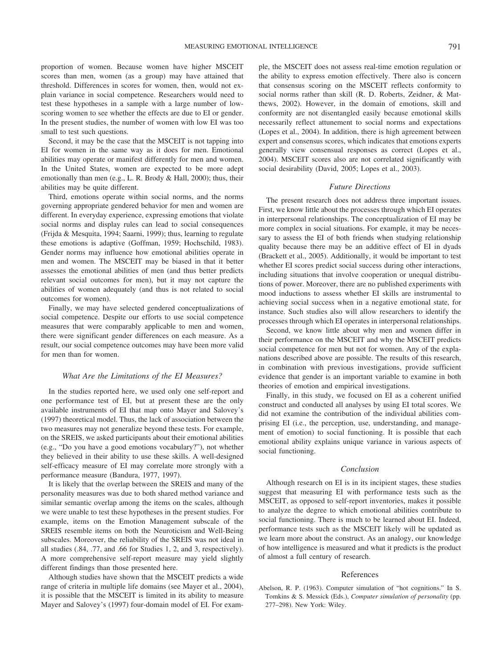proportion of women. Because women have higher MSCEIT scores than men, women (as a group) may have attained that threshold. Differences in scores for women, then, would not explain variance in social competence. Researchers would need to test these hypotheses in a sample with a large number of lowscoring women to see whether the effects are due to EI or gender. In the present studies, the number of women with low EI was too small to test such questions.

Second, it may be the case that the MSCEIT is not tapping into EI for women in the same way as it does for men. Emotional abilities may operate or manifest differently for men and women. In the United States, women are expected to be more adept emotionally than men (e.g., L. R. Brody & Hall, 2000); thus, their abilities may be quite different.

Third, emotions operate within social norms, and the norms governing appropriate gendered behavior for men and women are different. In everyday experience, expressing emotions that violate social norms and display rules can lead to social consequences (Frijda & Mesquita, 1994; Saarni, 1999); thus, learning to regulate these emotions is adaptive (Goffman, 1959; Hochschild, 1983). Gender norms may influence how emotional abilities operate in men and women. The MSCEIT may be biased in that it better assesses the emotional abilities of men (and thus better predicts relevant social outcomes for men), but it may not capture the abilities of women adequately (and thus is not related to social outcomes for women).

Finally, we may have selected gendered conceptualizations of social competence. Despite our efforts to use social competence measures that were comparably applicable to men and women, there were significant gender differences on each measure. As a result, our social competence outcomes may have been more valid for men than for women.

#### *What Are the Limitations of the EI Measures?*

In the studies reported here, we used only one self-report and one performance test of EI, but at present these are the only available instruments of EI that map onto Mayer and Salovey's (1997) theoretical model. Thus, the lack of association between the two measures may not generalize beyond these tests. For example, on the SREIS, we asked participants about their emotional abilities (e.g., "Do you have a good emotions vocabulary?"), not whether they believed in their ability to use these skills. A well-designed self-efficacy measure of EI may correlate more strongly with a performance measure (Bandura, 1977, 1997).

It is likely that the overlap between the SREIS and many of the personality measures was due to both shared method variance and similar semantic overlap among the items on the scales, although we were unable to test these hypotheses in the present studies. For example, items on the Emotion Management subscale of the SREIS resemble items on both the Neuroticism and Well-Being subscales. Moreover, the reliability of the SREIS was not ideal in all studies (.84, .77, and .66 for Studies 1, 2, and 3, respectively). A more comprehensive self-report measure may yield slightly different findings than those presented here.

Although studies have shown that the MSCEIT predicts a wide range of criteria in multiple life domains (see Mayer et al., 2004), it is possible that the MSCEIT is limited in its ability to measure Mayer and Salovey's (1997) four-domain model of EI. For example, the MSCEIT does not assess real-time emotion regulation or the ability to express emotion effectively. There also is concern that consensus scoring on the MSCEIT reflects conformity to social norms rather than skill (R. D. Roberts, Zeidner, & Matthews, 2002). However, in the domain of emotions, skill and conformity are not disentangled easily because emotional skills necessarily reflect attunement to social norms and expectations (Lopes et al., 2004). In addition, there is high agreement between expert and consensus scores, which indicates that emotions experts generally view consensual responses as correct (Lopes et al., 2004). MSCEIT scores also are not correlated significantly with social desirability (David, 2005; Lopes et al., 2003).

#### *Future Directions*

The present research does not address three important issues. First, we know little about the processes through which EI operates in interpersonal relationships. The conceptualization of EI may be more complex in social situations. For example, it may be necessary to assess the EI of both friends when studying relationship quality because there may be an additive effect of EI in dyads (Brackett et al., 2005). Additionally, it would be important to test whether EI scores predict social success during other interactions, including situations that involve cooperation or unequal distributions of power. Moreover, there are no published experiments with mood inductions to assess whether EI skills are instrumental to achieving social success when in a negative emotional state, for instance. Such studies also will allow researchers to identify the processes through which EI operates in interpersonal relationships.

Second, we know little about why men and women differ in their performance on the MSCEIT and why the MSCEIT predicts social competence for men but not for women. Any of the explanations described above are possible. The results of this research, in combination with previous investigations, provide sufficient evidence that gender is an important variable to examine in both theories of emotion and empirical investigations.

Finally, in this study, we focused on EI as a coherent unified construct and conducted all analyses by using EI total scores. We did not examine the contribution of the individual abilities comprising EI (i.e., the perception, use, understanding, and management of emotion) to social functioning. It is possible that each emotional ability explains unique variance in various aspects of social functioning.

#### *Conclusion*

Although research on EI is in its incipient stages, these studies suggest that measuring EI with performance tests such as the MSCEIT, as opposed to self-report inventories, makes it possible to analyze the degree to which emotional abilities contribute to social functioning. There is much to be learned about EI. Indeed, performance tests such as the MSCEIT likely will be updated as we learn more about the construct. As an analogy, our knowledge of how intelligence is measured and what it predicts is the product of almost a full century of research.

#### References

Abelson, R. P. (1963). Computer simulation of "hot cognitions." In S. Tomkins & S. Messick (Eds.), *Computer simulation of personality* (pp. 277–298). New York: Wiley.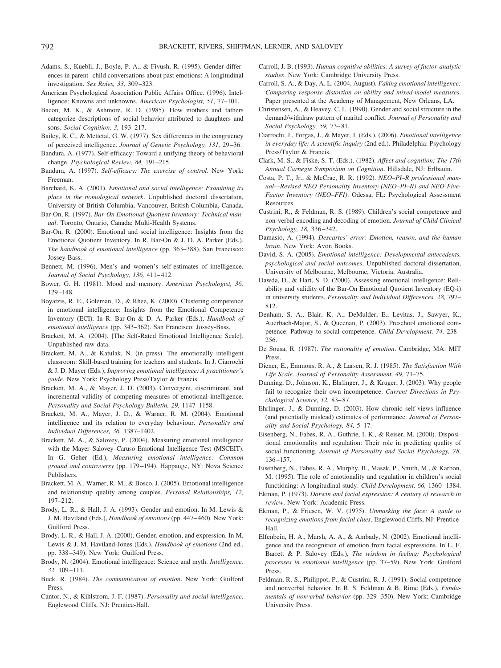- Adams, S., Kuebli, J., Boyle, P. A., & Fivush, R. (1995). Gender differences in parent– child conversations about past emotions: A longitudinal investigation. *Sex Roles, 33,* 309 –323.
- American Psychological Association Public Affairs Office. (1996). Intelligence: Knowns and unknowns. *American Psychologist, 51*, 77–101.
- Bacon, M. K., & Ashmore, R. D. (1985). How mothers and fathers categorize descriptions of social behavior attributed to daughters and sons. *Social Cognition, 3,* 193–217.
- Bailey, R. C., & Mettetal, G. W. (1977). Sex differences in the congruency of perceived intelligence. *Journal of Genetic Psychology, 131,* 29 –36.
- Bandura, A. (1977). Self-efficacy: Toward a unifying theory of behavioral change. *Psychological Review, 84,* 191–215.
- Bandura, A. (1997). *Self-efficacy: The exercise of control*. New York: Freeman.
- Barchard, K. A. (2001). *Emotional and social intelligence: Examining its place in the nomological network*. Unpublished doctoral dissertation, University of British Columbia, Vancouver, British Columbia, Canada.
- Bar-On, R. (1997). *Bar-On Emotional Quotient Inventory: Technical manual*. Toronto, Ontario, Canada: Multi-Health Systems.
- Bar-On, R. (2000). Emotional and social intelligence: Insights from the Emotional Quotient Inventory. In R. Bar-On & J. D. A. Parker (Eds.), *The handbook of emotional intelligence* (pp. 363–388). San Francisco: Jossey-Bass.
- Bennett, M. (1996). Men's and women's self-estimates of intelligence. *Journal of Social Psychology, 136,* 411– 412.
- Bower, G. H. (1981). Mood and memory. *American Psychologist, 36,* 129 –148.
- Boyatzis, R. E., Goleman, D., & Rhee, K. (2000). Clustering competence in emotional intelligence: Insights from the Emotional Competence Inventory (ECI). In R. Bar-On & D. A. Parker (Eds.), *Handbook of emotional intelligence* (pp. 343–362). San Francisco: Jossey-Bass.
- Brackett, M. A. (2004). [The Self-Rated Emotional Intelligence Scale]. Unpublished raw data.
- Brackett, M. A., & Katulak, N. (in press). The emotionally intelligent classroom: Skill-based training for teachers and students. In J. Ciarrochi & J. D. Mayer (Eds.), *Improving emotional intelligence: A practitioner's guide*. New York: Psychology Press/Taylor & Francis.
- Brackett, M. A., & Mayer, J. D. (2003). Convergent, discriminant, and incremental validity of competing measures of emotional intelligence. *Personality and Social Psychology Bulletin, 29,* 1147–1158.
- Brackett, M. A., Mayer, J. D., & Warner, R. M. (2004). Emotional intelligence and its relation to everyday behaviour. *Personality and Individual Differences, 36,* 1387–1402.
- Brackett, M. A., & Salovey, P. (2004). Measuring emotional intelligence with the Mayer–Salovey–Caruso Emotional Intelligence Test (MSCEIT). In G. Geher (Ed.), *Measuring emotional intelligence: Common ground and controversy* (pp. 179 –194). Happauge, NY: Nova Science Publishers.
- Brackett, M. A., Warner, R. M., & Bosco, J. (2005). Emotional intelligence and relationship quality among couples. *Personal Relationships, 12,* 197–212.
- Brody, L. R., & Hall, J. A. (1993). Gender and emotion. In M. Lewis & J. M. Haviland (Eds.), *Handbook of emotions* (pp. 447– 460). New York: Guilford Press.
- Brody, L. R., & Hall, J. A. (2000). Gender, emotion, and expression. In M. Lewis & J. M. Haviland-Jones (Eds.), *Handbook of emotions* (2nd ed., pp. 338 –349). New York: Guilford Press.
- Brody, N. (2004). Emotional intelligence: Science and myth. *Intelligence, 32,* 109 –111.
- Buck. R. (1984). *The communication of emotion*. New York: Guilford Press.
- Cantor, N., & Kihlstrom, J. F. (1987). *Personality and social intelligence*. Englewood Cliffs, NJ: Prentice-Hall.
- Carroll, J. B. (1993). *Human cognitive abilities: A survey of factor-analytic studies*. New York: Cambridge University Press.
- Carroll, S. A., & Day, A. L. (2004, August). *Faking emotional intelligence: Comparing response distortion on ability and mixed-model measures*. Paper presented at the Academy of Management, New Orleans, LA.
- Christensen, A., & Heavey, C. L. (1990). Gender and social structure in the demand/withdraw pattern of marital conflict. *Journal of Personality and Social Psychology, 59,* 73– 81.
- Ciarrochi, J., Forgas, J., & Mayer, J. (Eds.). (2006). *Emotional intelligence in everyday life: A scientific inquiry* (2nd ed.). Philadelphia: Psychology Press/Taylor & Francis.
- Clark, M. S., & Fiske, S. T. (Eds.). (1982). *Affect and cognition: The 17th Annual Carnegie Symposium on Cognition*. Hillsdale, NJ: Erlbaum.
- Costa, P. T., Jr., & McCrae, R. R. (1992). *NEO–PI–R professional manual—Revised NEO Personality Inventory (NEO–PI–R) and NEO Five-Factor Inventory (NEO–FFI)*. Odessa, FL: Psychological Assessment Resources.
- Custrini, R., & Feldman, R. S. (1989). Children's social competence and non-verbal encoding and decoding of emotion. *Journal of Child Clinical Psychology, 18,* 336 –342.
- Damasio, A. (1994). *Descartes' error: Emotion, reason, and the human brain*. New York: Avon Books.
- David, S. A. (2005). *Emotional intelligence: Developmental antecedents, psychological and social outcomes*. Unpublished doctoral dissertation, University of Melbourne, Melbourne, Victoria, Australia.
- Dawda, D., & Hart, S. D. (2000). Assessing emotional intelligence: Reliability and validity of the Bar-On Emotional Quotient Inventory (EQ-i) in university students. *Personality and Individual Differences, 28,* 797– 812.
- Denham, S. A., Blair, K. A., DeMulder, E., Levitas, J., Sawyer, K., Auerbach-Major, S., & Queenan, P. (2003). Preschool emotional competence: Pathway to social competence. *Child Development, 74,* 238 – 256.
- De Sousa, R. (1987). *The rationality of emotion*. Cambridge, MA: MIT Press.
- Diener, E., Emmons, R. A., & Larsen, R. J. (1985). *The Satisfaction With Life Scale*. *Journal of Personality Assessment, 49,* 71–75.
- Dunning, D., Johnson, K., Ehrlinger, J., & Kruger, J. (2003). Why people fail to recognize their own incompetence. *Current Directions in Psychological Science, 12,* 83– 87.
- Ehrlinger, J., & Dunning, D. (2003). How chronic self-views influence (and potentially mislead) estimates of performance. *Journal of Personality and Social Psychology, 84,* 5–17.
- Eisenberg, N., Fabes, R. A., Guthrie, I. K., & Reiser, M. (2000). Dispositional emotionality and regulation: Their role in predicting quality of social functioning. *Journal of Personality and Social Psychology, 78,* 136 –157.
- Eisenberg, N., Fabes, R. A., Murphy, B., Maszk, P., Smith, M., & Karbon, M. (1995). The role of emotionality and regulation in children's social functioning: A longitudinal study. *Child Development, 66,* 1360–1384.
- Ekman, P. (1973). *Darwin and facial expression: A century of research in review*. New York: Academic Press.
- Ekman, P., & Friesen, W. V. (1975). *Unmasking the face: A guide to recognizing emotions from facial clues*. Englewood Cliffs, NJ: Prentice-Hall.
- Elfenbein, H. A., Marsh, A. A., & Ambady, N. (2002). Emotional intelligence and the recognition of emotion from facial expressions. In L. F. Barrett & P. Salovey (Eds.), *The wisdom in feeling: Psychological processes in emotional intelligence* (pp. 37–59). New York: Guilford Press.
- Feldman, R. S., Philippot, P., & Custrini, R. J. (1991). Social competence and nonverbal behavior. In R. S. Feldman & B. Rime (Eds.), *Fundamentals of nonverbal behavior* (pp. 329 –350). New York: Cambridge University Press.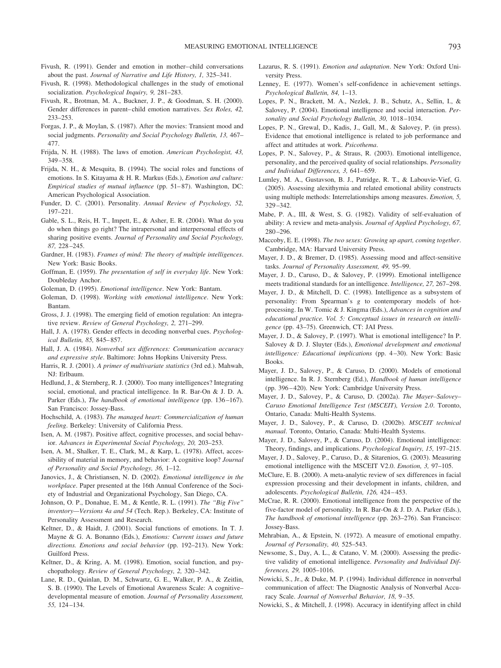- Fivush, R. (1991). Gender and emotion in mother– child conversations about the past. *Journal of Narrative and Life History, 1,* 325–341.
- Fivush, R. (1998). Methodological challenges in the study of emotional socialization. *Psychological Inquiry, 9,* 281–283.
- Fivush, R., Brotman, M. A., Buckner, J. P., & Goodman, S. H. (2000). Gender differences in parent– child emotion narratives. *Sex Roles, 42,* 233–253.
- Forgas, J. P., & Moylan, S. (1987). After the movies: Transient mood and social judgments. *Personality and Social Psychology Bulletin, 13,* 467– 477.
- Frijda, N. H. (1988). The laws of emotion. *American Psychologist, 43,* 349 –358.
- Frijda, N. H., & Mesquita, B. (1994). The social roles and functions of emotions. In S. Kitayama & H. R. Markus (Eds.), *Emotion and culture: Empirical studies of mutual influence* (pp. 51-87). Washington, DC: American Psychological Association.
- Funder, D. C. (2001). Personality. *Annual Review of Psychology, 52,* 197–221.
- Gable, S. L., Reis, H. T., Impett, E., & Asher, E. R. (2004). What do you do when things go right? The intrapersonal and interpersonal effects of sharing positive events. *Journal of Personality and Social Psychology, 87,* 228 –245.
- Gardner, H. (1983). *Frames of mind: The theory of multiple intelligences*. New York: Basic Books.
- Goffman, E. (1959). *The presentation of self in everyday life*. New York: Doubleday Anchor.
- Goleman, D. (1995). *Emotional intelligence*. New York: Bantam.
- Goleman, D. (1998). *Working with emotional intelligence*. New York: Bantam.
- Gross, J. J. (1998). The emerging field of emotion regulation: An integrative review. *Review of General Psychology, 2,* 271–299.
- Hall, J. A. (1978). Gender effects in decoding nonverbal cues. *Psychological Bulletin, 85,* 845– 857.
- Hall, J. A. (1984). *Nonverbal sex differences: Communication accuracy and expressive style*. Baltimore: Johns Hopkins University Press.
- Harris, R. J. (2001). *A primer of multivariate statistics* (3rd ed.). Mahwah, NJ: Erlbaum.
- Hedlund, J., & Sternberg, R. J. (2000). Too many intelligences? Integrating social, emotional, and practical intelligence. In R. Bar-On & J. D. A. Parker (Eds.), *The handbook of emotional intelligence* (pp. 136-167). San Francisco: Jossey-Bass.
- Hochschild, A. (1983). *The managed heart: Commercialization of human feeling*. Berkeley: University of California Press.
- Isen, A. M. (1987). Positive affect, cognitive processes, and social behavior. *Advances in Experimental Social Psychology, 20,* 203–253.
- Isen, A. M., Shalker, T. E., Clark, M., & Karp, L. (1978). Affect, accessibility of material in memory, and behavior: A cognitive loop? *Journal of Personality and Social Psychology, 36,* 1–12.
- Janovics, J., & Christiansen, N. D. (2002). *Emotional intelligence in the workplace*. Paper presented at the 16th Annual Conference of the Society of Industrial and Organizational Psychology, San Diego, CA.
- Johnson, O. P., Donahue, E. M., & Kentle, R. L. (1991). *The "Big Five" inventory—Versions 4a and 54* (Tech. Rep.). Berkeley, CA: Institute of Personality Assessment and Research.
- Keltner, D., & Haidt, J. (2001). Social functions of emotions. In T. J. Mayne & G. A. Bonanno (Eds.), *Emotions: Current issues and future directions. Emotions and social behavior* (pp. 192–213). New York: Guilford Press.
- Keltner, D., & Kring, A. M. (1998). Emotion, social function, and psychopathology. *Review of General Psychology, 2,* 320 –342.
- Lane, R. D., Quinlan, D. M., Schwartz, G. E., Walker, P. A., & Zeitlin, S. B. (1990). The Levels of Emotional Awareness Scale: A cognitive– developmental measure of emotion. *Journal of Personality Assessment, 55,* 124 –134.
- Lazarus, R. S. (1991). *Emotion and adaptation*. New York: Oxford University Press.
- Lenney, E. (1977). Women's self-confidence in achievement settings. *Psychological Bulletin, 84,* 1–13.
- Lopes, P. N., Brackett, M. A., Nezlek, J. B., Schutz, A., Sellin, I., & Salovey, P. (2004). Emotional intelligence and social interaction. *Personality and Social Psychology Bulletin, 30,* 1018 –1034.
- Lopes, P. N., Grewal, D., Kadis, J., Gall, M., & Salovey, P. (in press). Evidence that emotional intelligence is related to job performance and affect and attitudes at work. *Psicothema*.
- Lopes, P. N., Salovey, P., & Straus, R. (2003). Emotional intelligence, personality, and the perceived quality of social relationships. *Personality and Individual Differences, 3,* 641– 659.
- Lumley, M. A., Gustavson, B. J., Patridge, R. T., & Labouvie-Vief, G. (2005). Assessing alexithymia and related emotional ability constructs using multiple methods: Interrelationships among measures. *Emotion, 5,* 329 –342.
- Mabe, P. A., III, & West, S. G. (1982). Validity of self-evaluation of ability: A review and meta-analysis. *Journal of Applied Psychology, 67,* 280 –296.
- Maccoby, E. E. (1998). *The two sexes: Growing up apart, coming together*. Cambridge, MA: Harvard University Press.
- Mayer, J. D., & Bremer, D. (1985). Assessing mood and affect-sensitive tasks. *Journal of Personality Assessment, 49,* 95–99.
- Mayer, J. D., Caruso, D., & Salovey, P. (1999). Emotional intelligence meets traditional standards for an intelligence. *Intelligence, 27,* 267–298.
- Mayer, J. D., & Mitchell, D. C. (1998). Intelligence as a subsystem of personality: From Spearman's *g* to contemporary models of hotprocessing. In W. Tomic & J. Kingma (Eds.), *Advances in cognition and educational practice. Vol. 5: Conceptual issues in research on intelligence* (pp. 43–75). Greenwich, CT: JAI Press.
- Mayer, J. D., & Salovey, P. (1997). What is emotional intelligence? In P. Salovey & D. J. Sluyter (Eds.), *Emotional development and emotional intelligence: Educational implications* (pp. 4 –30). New York: Basic Books.
- Mayer, J. D., Salovey, P., & Caruso, D. (2000). Models of emotional intelligence. In R. J. Sternberg (Ed.), *Handbook of human intelligence* (pp. 396 – 420). New York: Cambridge University Press.
- Mayer, J. D., Salovey, P., & Caruso, D. (2002a). *The Mayer–Salovey– Caruso Emotional Intelligence Test (MSCEIT), Version 2.0*. Toronto, Ontario, Canada: Multi-Health Systems.
- Mayer, J. D., Salovey, P., & Caruso, D. (2002b). *MSCEIT technical manual*. Toronto, Ontario, Canada: Multi-Health Systems.
- Mayer, J. D., Salovey, P., & Caruso, D. (2004). Emotional intelligence: Theory, findings, and implications. *Psychological Inquiry, 15,* 197–215.
- Mayer, J. D., Salovey, P., Caruso, D., & Sitarenios, G. (2003). Measuring emotional intelligence with the MSCEIT V2.0. *Emotion, 3,* 97–105.
- McClure, E. B. (2000). A meta-analytic review of sex differences in facial expression processing and their development in infants, children, and adolescents. *Psychological Bulletin, 126,* 424 – 453.
- McCrae, R. R. (2000). Emotional intelligence from the perspective of the five-factor model of personality. In R. Bar-On & J. D. A. Parker (Eds.), *The handbook of emotional intelligence* (pp. 263–276). San Francisco: Jossey-Bass.
- Mehrabian, A., & Epstein, N. (1972). A measure of emotional empathy. *Journal of Personality, 40,* 525–543.
- Newsome, S., Day, A. L., & Catano, V. M. (2000). Assessing the predictive validity of emotional intelligence. *Personality and Individual Differences, 29,* 1005–1016.
- Nowicki, S., Jr., & Duke, M. P. (1994). Individual difference in nonverbal communication of affect: The Diagnostic Analysis of Nonverbal Accuracy Scale. *Journal of Nonverbal Behavior, 18,* 9 –35.
- Nowicki, S., & Mitchell, J. (1998). Accuracy in identifying affect in child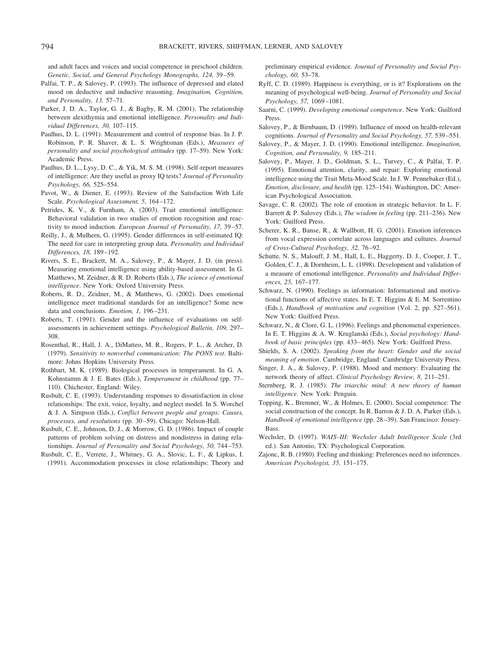and adult faces and voices and social competence in preschool children. *Genetic, Social, and General Psychology Monographs, 124,* 39 –59.

- Palfai, T. P., & Salovey, P. (1993). The influence of depressed and elated mood on deductive and inductive reasoning. *Imagination, Cognition, and Personality, 13,* 57–71.
- Parker, J. D. A., Taylor, G. J., & Bagby, R. M. (2001). The relationship between alexithymia and emotional intelligence. *Personality and Individual Differences, 30,* 107–115.
- Paulhus, D. L. (1991). Measurement and control of response bias. In J. P. Robinson, P. R. Shaver, & L. S. Wrightsman (Eds.), *Measures of personality and social psychological attitudes* (pp. 17–59). New York: Academic Press.
- Paulhus, D. L., Lysy, D. C., & Yik, M. S. M. (1998). Self-report measures of intelligence: Are they useful as proxy IQ tests? *Journal of Personality Psychology, 66,* 525–554.
- Pavot, W., & Diener, E. (1993). Review of the Satisfaction With Life Scale. *Psychological Assessment, 5,* 164 –172.
- Petrides, K. V., & Furnham, A. (2003). Trait emotional intelligence: Behavioral validation in two studies of emotion recognition and reactivity to mood induction. *European Journal of Personality, 17,* 39 –57.
- Reilly, J., & Mulhern, G. (1995). Gender differences in self-estimated IQ: The need for care in interpreting group data. *Personality and Individual Differences, 18,* 189 –192.
- Rivers, S. E., Brackett, M. A., Salovey, P., & Mayer, J. D. (in press). Measuring emotional intelligence using ability-based assessment. In G. Matthews, M. Zeidner, & R. D. Roberts (Eds.), *The science of emotional intelligence*. New York: Oxford University Press.
- Roberts, R. D., Zeidner, M., & Matthews, G. (2002). Does emotional intelligence meet traditional standards for an intelligence? Some new data and conclusions. *Emotion*, 1, 196-231.
- Roberts, T. (1991). Gender and the influence of evaluations on selfassessments in achievement settings. *Psychological Bulletin, 109,* 297– 308.
- Rosenthal, R., Hall, J. A., DiMatteo, M. R., Rogers, P. L., & Archer, D. (1979). *Sensitivity to nonverbal communication: The PONS test*. Baltimore: Johns Hopkins University Press.
- Rothbart, M. K. (1989). Biological processes in temperament. In G. A. Kohnstamm & J. E. Bates (Eds.), *Temperament in childhood* (pp. 77– 110). Chichester, England: Wiley.
- Rusbult, C. E. (1993). Understanding responses to dissatisfaction in close relationships: The exit, voice, loyalty, and neglect model. In S. Worchel & J. A. Simpson (Eds.), *Conflict between people and groups: Causes, processes, and resolutions* (pp. 30 –59). Chicago: Nelson-Hall.
- Rusbult, C. E., Johnson, D. J., & Morrow, G. D. (1986). Impact of couple patterns of problem solving on distress and nondistress in dating relationships. *Journal of Personality and Social Psychology, 50,* 744 –753.
- Rusbult, C. E., Verrete, J., Whitney, G. A., Slovic, L. F., & Lipkus, I. (1991). Accommodation processes in close relationships: Theory and

preliminary empirical evidence. *Journal of Personality and Social Psychology, 60,* 53–78.

- Ryff, C. D. (1989). Happiness is everything, or is it? Explorations on the meaning of psychological well-being. *Journal of Personality and Social Psychology, 57,* 1069 –1081.
- Saarni, C. (1999). *Developing emotional competence*. New York: Guilford Press.
- Salovey, P., & Birnbaum, D. (1989). Influence of mood on health-relevant cognitions. *Journal of Personality and Social Psychology, 57,* 539 –551.
- Salovey, P., & Mayer, J. D. (1990). Emotional intelligence. *Imagination, Cognition, and Personality, 9,* 185–211.
- Salovey, P., Mayer, J. D., Goldman, S. L., Turvey, C., & Palfai, T. P. (1995). Emotional attention, clarity, and repair: Exploring emotional intelligence using the Trait Meta-Mood Scale. In J. W. Pennebaker (Ed.), *Emotion, disclosure, and health* (pp. 125–154). Washington, DC: American Psychological Association.
- Savage, C. R. (2002). The role of emotion in strategic behavior. In L. F. Barrett & P. Salovey (Eds.), *The wisdom in feeling* (pp. 211–236). New York: Guilford Press.
- Scherer, K. R., Banse, R., & Wallbott, H. G. (2001). Emotion inferences from vocal expression correlate across languages and cultures. *Journal of Cross-Cultural Psychology, 32,* 76 –92.
- Schutte, N. S., Malouff, J. M., Hall, L. E., Haggerty, D. J., Cooper, J. T., Golden, C. J., & Dornheim, L. L. (1998). Development and validation of a measure of emotional intelligence. *Personality and Individual Differences, 25,* 167–177.
- Schwarz, N. (1990). Feelings as information: Informational and motivational functions of affective states. In E. T. Higgins & E. M. Sorrentino (Eds.), *Handbook of motivation and cognition* (Vol. 2, pp. 527–561). New York: Guilford Press.
- Schwarz, N., & Clore, G. L. (1996). Feelings and phenomenal experiences. In E. T. Higgins & A. W. Kruglanski (Eds.), *Social psychology: Handbook of basic principles* (pp. 433– 465). New York: Guilford Press.
- Shields, S. A. (2002). *Speaking from the heart: Gender and the social meaning of emotion*. Cambridge, England: Cambridge University Press.
- Singer, J. A., & Salovey, P. (1988). Mood and memory: Evaluating the network theory of affect. *Clinical Psychology Review, 8,* 211–251.
- Sternberg, R. J. (1985). *The triarchic mind: A new theory of human intelligence*. New York: Penguin.
- Topping, K., Bremner, W., & Holmes, E. (2000). Social competence: The social construction of the concept. In R. Barron & J. D. A. Parker (Eds.), *Handbook of emotional intelligence* (pp. 28 –39). San Francisco: Jossey-Bass.
- Wechsler, D. (1997). *WAIS–III: Wechsler Adult Intelligence Scale* (3rd ed.). San Antonio, TX: Psychological Corporation.
- Zajonc, R. B. (1980). Feeling and thinking: Preferences need no inferences. *American Psychologist, 35,* 151–175.